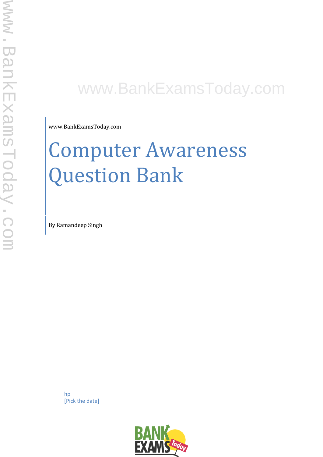# www.BankExamsToday.com

www.BankExamsToday.com

# Computer Awareness Question Bank

By Ramandeep Singh

hp [Pick the date]

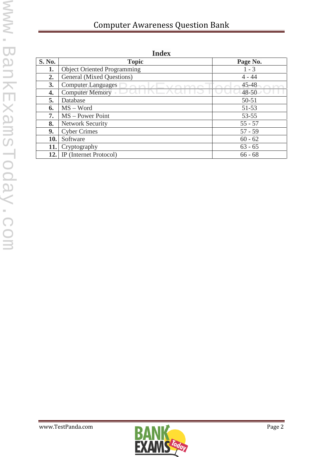# Computer Awareness Question Bank

| пписл         |                                    |           |
|---------------|------------------------------------|-----------|
| <b>S. No.</b> | <b>Topic</b>                       | Page No.  |
| 1.            | <b>Object Oriented Programming</b> | $1 - 3$   |
| 2.            | General (Mixed Questions)          | $4 - 44$  |
| 3.            | <b>Computer Languages</b>          | $45 - 48$ |
| 4.            | <b>Computer Memory</b>             | $48 - 50$ |
| 5.            | Database                           | $50 - 51$ |
| 6.            | $MS - Word$                        | $51 - 53$ |
| 7.            | $MS - Power Point$                 | $53 - 55$ |
| 8.            | <b>Network Security</b>            | $55 - 57$ |
| 9.            | <b>Cyber Crimes</b>                | $57 - 59$ |
| 10.           | Software                           | $60 - 62$ |
| 11.           | Cryptography                       | $63 - 65$ |
| 12.           | IP (Internet Protocol)             | $66 - 68$ |

**Index**

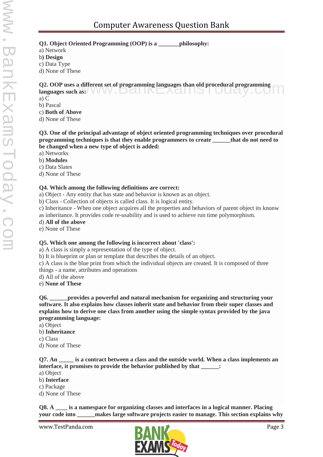**Q1. Object Oriented Programming (OOP) is a \_\_\_\_\_\_\_philosophy:**

a) Network

b**) Design**

c) Data Type

d) None of These

**Q2. OOP uses a different set of programming languages than old procedural programming** Q2. OOP uses a different set of programming languages than old procedural programming languages such as:

a) C

b) Pascal

c) **Both of Above**

d) None of These

**Q3. One of the principal advantage of object oriented programming techniques over procedural programming techniques is that they enable programmers to create \_\_\_\_\_\_that do not need to be changed when a new type of object is added:**

a) Networks

b) **Modules**

c) Data Slates

d) None of These

#### **Q4. Which among the following definitions are correct:**

a) Object - Any entity that has state and behavior is known as an object.

b) Class - Collection of objects is called class. It is logical entity.

c) Inheritance - When one object acquires all the properties and behaviors of parent object its knonw

as inheritance. It provides code re-usability and is used to achieve run time polymorphism.

d) **All of the above**

e) None of These

#### **Q5. Which one among the following is incorrect about 'class':**

a) A class is simply a representation of the type of object.

b) It is blueprint or plan or template that describes the details of an object.

c) A class is the blue print from which the individual objects are created. It is composed of three things - a name, attributes and operations

d) All of the above

e) **None of These**

**Q6. \_\_\_\_\_\_provides a powerful and natural mechanism for organizing and structuring your software. It also explains how classes inherit state and behavior from their super classes and explains how to derive one class from another using the simple syntax provided by the java programming language:**

a) Object

b) **Inheritance**

c) Class

d) None of These

**Q7. An \_\_\_\_\_ is a contract between a class and the outside world. When a class implements an interface, it promises to provide the behavior published by that \_\_\_\_\_\_:**

- a) Object
- b) **Interface**
- c) Package

d) None of These

**Q8. A \_\_\_\_ is a namespace for organizing classes and interfaces in a logical manner. Placing your code into \_\_\_\_\_\_makes large software projects easier to manage. This section explains why**

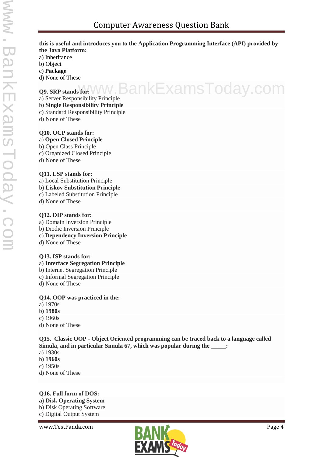#### **this is useful and introduces you to the Application Programming Interface (API) provided by the Java Platform:**

a) Inheritance

- b) Object
- c) **Package**

d) None of These

#### **Q9. SRP stands for:**

a) Server Responsibility Principle www.BankExamsToday.com

#### b) **Single Responsibility Principle**

- c) Standard Responsibility Principle
- d) None of These

#### **Q10. OCP stands for:**

- a) **Open Closed Principle**
- b) Open Class Principle
- c) Organized Closed Principle
- d) None of These

#### **Q11. LSP stands for:**

- a) Local Substitution Principle
- b) **Liskov Substitution Principle**
- c) Labeled Substitution Principle
- d) None of These

#### **Q12. DIP stands for:**

- a) Domain Inversion Principle
- b) Diodic Inversion Principle
- c) **Dependency Inversion Principle**
- d) None of These

#### **Q13. ISP stands for:**

- a) **Interface Segregation Principle**
- b) Internet Segregation Principle
- c) Informal Segregation Principle
- d) None of These

#### **Q14. OOP was practiced in the:**

- a) 1970s
- b**) 1980s**
- c) 1960s
- d) None of These

#### **Q15. Classic OOP - Object Oriented programming can be traced back to a language called Simula, and in particular Simula 67, which was popular during the \_\_\_\_\_:**

- a) 1930s
- b**) 1960s**
- c) 1950s
- d) None of These

## **Q16. Full form of DOS: a) Disk Operating System**

b) Disk Operating Software c) Digital Output System

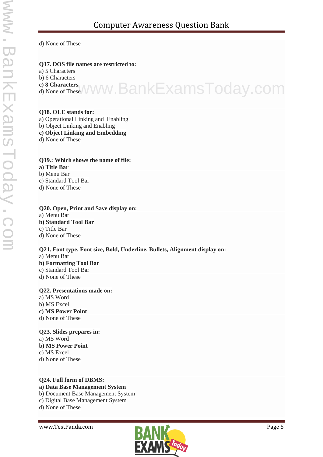d) None of These

#### **Q17. DOS file names are restricted to:**

a) 5 Characters

b) 6 Characters

**c) 8 Characters**

d) None of These www.BankExamsToday.com

#### **Q18. OLE stands for:**

a) Operational Linking and Enabling

b) Object Linking and Enabling

**c) Object Linking and Embedding**

d) None of These

#### **Q19.: Which shows the name of file:**

**a) Title Bar**

b) Menu Bar

c) Standard Tool Bar

d) None of These

# **Q20. Open, Print and Save display on:**

a) Menu Bar **b) Standard Tool Bar** c) Title Bar

d) None of These

**Q21. Font type, Font size, Bold, Underline, Bullets, Alignment display on:** a) Menu Bar **b) Formatting Tool Bar** c) Standard Tool Bar d) None of These

#### **Q22. Presentations made on:**

a) MS Word b) MS Excel **c) MS Power Point** d) None of These

#### **Q23. Slides prepares in:**

a) MS Word **b) MS Power Point** c) MS Excel d) None of These

#### **Q24. Full form of DBMS: a) Data Base Management System** b) Document Base Management System

c) Digital Base Management System

d) None of These

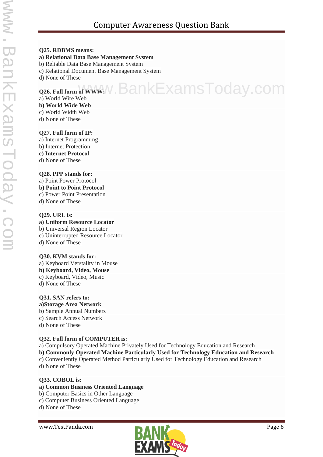# Computer Awareness Question Bank

#### **Q25. RDBMS means:**

#### **a) Relational Data Base Management System**

#### b) Reliable Data Base Management System

c) Relational Document Base Management System

d) None of These

# **Q26. Full form of WWW:** N. BankExamsToday.com

a) World Wire Web **b) World Wide Web** c) World Width Web

d) None of These

#### **Q27. Full form of IP:**

a) Internet Programming

- b) Internet Protection
- **c) Internet Protocol** d) None of These

#### **Q28. PPP stands for:**

a) Point Power Protocol **b) Point to Point Protocol**

- c) Power Point Presentation
- d) None of These

#### **Q29. URL is:**

#### **a) Uniform Resource Locator**

b) Universal Region Locator

- c) Uninterrupted Resource Locator
- d) None of These

#### **Q30. KVM stands for:**

a) Keyboard Verstality in Mouse **b) Keyboard, Video, Mouse** c) Keyboard, Video, Music

d) None of These

## **Q31. SAN refers to:**

**a)Storage Area Network**

- b) Sample Annual Numbers
- c) Search Access Network
- d) None of These

#### **Q32. Full form of COMPUTER is:**

a) Compulsory Operated Machine Privately Used for Technology Education and Research

- **b) Commonly Operated Machine Particularly Used for Technology Education and Research**
- c) Conveniently Operated Method Particularly Used for Technology Education and Research d) None of These

# **Q33. COBOL is:**

#### **a) Common Business Oriented Language**

- b) Computer Basics in Other Language
- c) Computer Business Oriented Language

d) None of These

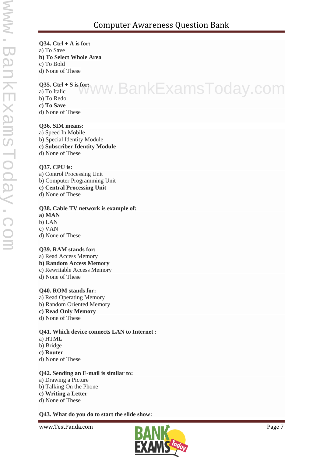#### **Q34. Ctrl + A is for:** a) To Save **b) To Select Whole Area** c) To Bold d) None of These

#### **Q35. Ctrl + S is for:**

Q35. Ctrl+Sisfor; WW.BankExamsToday.com b) To Redo

- **c) To Save**
- d) None of These

#### **Q36. SIM means:**

a) Speed In Mobile b) Special Identity Module **c) Subscriber Identity Module** d) None of These

#### **Q37. CPU is:**

a) Control Processing Unit b) Computer Programming Unit **c) Central Processing Unit** d) None of These

#### **Q38. Cable TV network is example of:**

- **a) MAN**
- b) LAN c) VAN
- d) None of These

#### **Q39. RAM stands for:**

- a) Read Access Memory
- **b) Random Access Memory**
- c) Rewritable Access Memory
- d) None of These

#### **Q40. ROM stands for:**

- a) Read Operating Memory b) Random Oriented Memory
- **c) Read Only Memory**
- d) None of These

#### **Q41. Which device connects LAN to Internet :**

- a) HTML
- b) Bridge
- **c) Router**
- d) None of These

#### **Q42. Sending an E-mail is similar to:**

- a) Drawing a Picture
- b) Talking On the Phone

### **c) Writing a Letter**

d) None of These

#### **Q43. What do you do to start the slide show:**

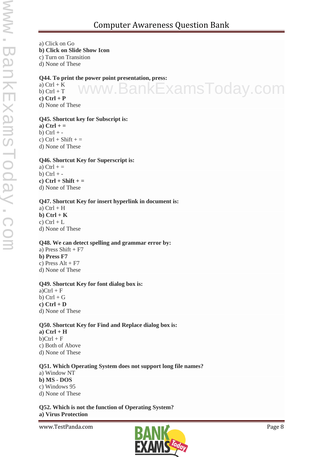w.BankExamsToday.com

a) Click on Go **b) Click on Slide Show Icon** c) Turn on Transition d) None of These

**Q44. To print the power point presentation, press:**

a)  $Ctrl + K$ b)  $Ctrl + T$ **c) Ctrl + P** d) None of These

#### **Q45. Shortcut key for Subscript is:**

**a) Ctrl + =** b)  $Ctrl +$ c)  $Ctrl + Shift +=$ d) None of These

#### **Q46. Shortcut Key for Superscript is:**

a)  $Ctrl + =$ b)  $Ctrl +$ **c) Ctrl + Shift + =** d) None of These

#### **Q47. Shortcut Key for insert hyperlink in document is:**

a)  $Ctrl + H$ **b) Ctrl + K** c)  $Ctrl + L$ d) None of These

#### **Q48. We can detect spelling and grammar error by:**

a) Press Shift  $+ F7$ **b) Press F7** c) Press  $Alt + F7$ d) None of These

#### **Q49. Shortcut Key for font dialog box is:**

 $a)$ Ctrl + F b)  $Ctrl + G$ **c) Ctrl + D** d) None of These

#### **Q50. Shortcut Key for Find and Replace dialog box is:**

**a) Ctrl + H**  $b)$ Ctrl + F c) Both of Above d) None of These

#### **Q51. Which Operating System does not support long file names?**

a) Window NT **b) MS - DOS** c) Windows 95 d) None of These

**Q52. Which is not the function of Operating System? a) Virus Protection**

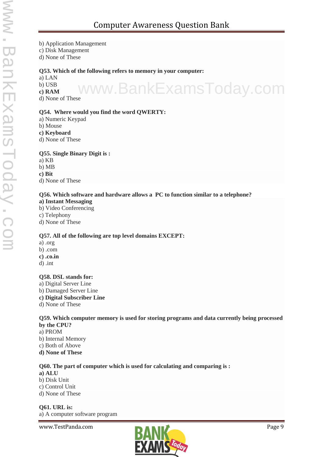b) Application Management

c) Disk Management

d) None of These

#### **Q53. Which of the following refers to memory in your computer:**

a) LAN

b) USB

**c) RAM** www.BankExamsToday.com d) None of These

#### **Q54. Where would you find the word QWERTY:**

- a) Numeric Keypad
- b) Mouse
- **c) Keyboard**
- d) None of These

#### **Q55. Single Binary Digit is :**

- a) KB
- b) MB
- **c) Bit**

d) None of These

#### **Q56. Which software and hardware allows a PC to function similar to a telephone?**

- **a) Instant Messaging**
- b) Video Conferencing
- c) Telephony
- d) None of These

#### **Q57. All of the following are top level domains EXCEPT:**

- a) .org
- b) .com
- **c) .co.in**
- d) .int

#### **Q58. DSL stands for:**

- a) Digital Server Line b) Damaged Server Line
- **c) Digital Subscriber Line**
- d) None of These

#### **Q59. Which computer memory is used for storing programs and data currently being processed by the CPU?**

- a) PROM
- b) Internal Memory
- c) Both of Above
- **d) None of These**

#### **Q60. The part of computer which is used for calculating and comparing is :**

**a) ALU** b) Disk Unit c) Control Unit d) None of These

**Q61. URL is:** a) A computer software program

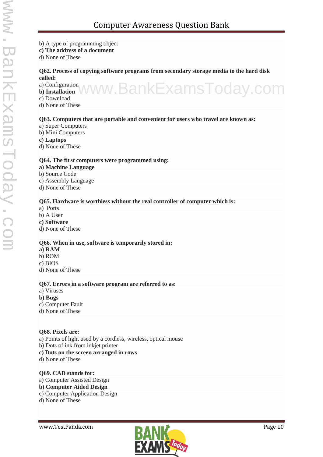#### b) A type of programming object

**c) The address of a document**

d) None of These

#### **Q62. Process of copying software programs from secondary storage media to the hard disk called:**

a) Configuration **b) Installation** www.BankExamsToday.com

- 
- c) Download
- d) None of These

#### **Q63. Computers that are portable and convenient for users who travel are known as:**

- a) Super Computers
- b) Mini Computers
- **c) Laptops**
- d) None of These

#### **Q64. The first computers were programmed using:**

- **a) Machine Language**
- b) Source Code
- c) Assembly Language
- d) None of These

#### **Q65. Hardware is worthless without the real controller of computer which is:**

- a) Ports
- b) A User
- **c) Software**
- d) None of These

#### **Q66. When in use, software is temporarily stored in:**

- **a) RAM**
- b) ROM
- c) BIOS
- d) None of These

#### **Q67. Errors in a software program are referred to as:**

- a) Viruses
- **b) Bugs**
- c) Computer Fault
- d) None of These

#### **Q68. Pixels are:**

- a) Points of light used by a cordless, wireless, optical mouse
- b) Dots of ink from inkjet printer
- **c) Dots on the screen arranged in rows**
- d) None of These

#### **Q69. CAD stands for:**

a) Computer Assisted Design

#### **b) Computer Aided Design**

- c) Computer Application Design
- d) None of These

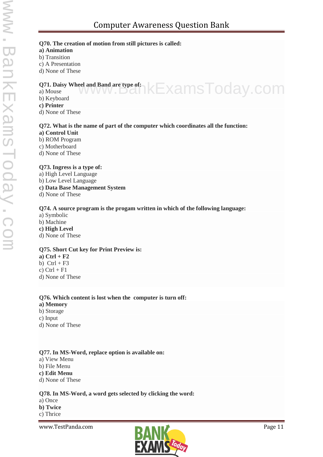#### **Q70. The creation of motion from still pictures is called:**

#### **a) Animation**

- b) Transition
- c) A Presentation
- d) None of These

#### **Q71. Daisy Wheel and Band are type of:** Q71. Daisy Wheel and Band are type of: <br>a) Mouse www.bankExamsToday.com

b) Keyboard

#### **c) Printer**

d) None of These

#### **Q72. What is the name of part of the computer which coordinates all the function:**

- **a) Control Unit**
- b) ROM Program
- c) Motherboard
- d) None of These

#### **Q73. Ingress is a type of:**

- a) High Level Language b) Low Level Language **c) Data Base Management System**
- d) None of These

#### **Q74. A source program is the progam written in which of the following language:**

- a) Symbolic
- b) Machine
- **c) High Level**
- d) None of These

#### **Q75. Short Cut key for Print Preview is:**

**a) Ctrl + F2** b)  $Ctrl + F3$ c)  $Ctrl + F1$ d) None of These

#### **Q76. Which content is lost when the computer is turn off:**

- **a) Memory**
- b) Storage
- c) Input
- d) None of These

#### **Q77. In MS-Word, replace option is available on:**

- a) View Menu
- b) File Menu
- **c) Edit Menu**
- d) None of These

#### **Q78. In MS-Word, a word gets selected by clicking the word:**

- a) Once
- **b) Twice**
- c) Thrice

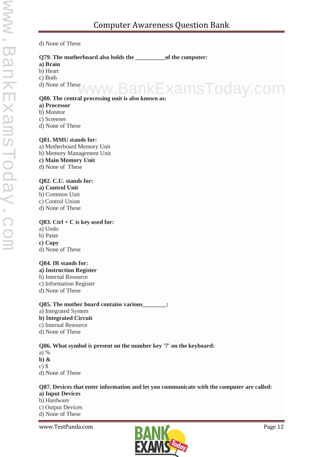#### d) None of These

#### **Q79. The motherboard also holds the \_\_\_\_\_\_\_\_\_\_of the computer:**

**a) Brain**

b) Heart

c) Both

d) None of These

# **Q80. The central processing unit is also known as:** ankExamsToday.com

#### **a) Processor**

- b) Monitor
- c) Screener
- d) None of These

#### **Q81. MMU stands for:**

a) Motherboard Memory Unit b) Memory Management Unit **c) Main Memory Unit** d) None of These

#### **Q82. C.U. stands for:**

- **a) Control Unit** b) Common Unit
- c) Control Union
- d) None of These

#### **Q83. Ctrl + C is key used for:**

- a) Undo
- b) Paste
- **c) Copy**
- d) None of These

#### **Q84. IR stands for:**

- **a) Instruction Register**
- b) Internal Resource
- c) Information Register
- d) None of These

#### **Q85. The mother board contains various\_\_\_\_\_\_\_\_:**

a) Integrated System **b) Integrated Circuit** c) Internal Resource d) None of These

#### **Q86. What symbol is present on the number key '7' on the keyboard:**

- a) %
- **b) &**
- c) \$
- d) None of These

#### **Q87. Devices that enter information and let you communicate with the computer are called:**

#### **a) Input Devices**

- b) Hardware
- c) Output Devices
- d) None of These

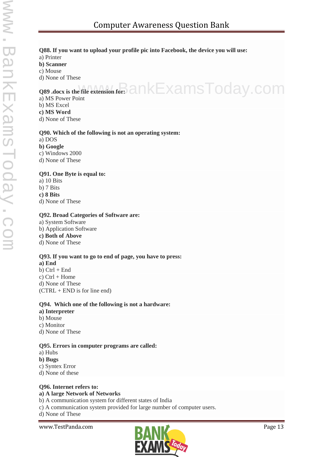#### **Q88. If you want to upload your profile pic into Facebook, the device you will use:**

### a) Printer

- **b) Scanner**
- c) Mouse
- d) None of These

# **Q89 .docx** is the file extension for:  $a_n = a_n$  and  $b_n = x$  ams Today.com

- a) MS Power Point
- b) MS Excel
- **c) MS Word**
- d) None of These

#### **Q90. Which of the following is not an operating system:**

#### a) DOS

- **b) Google**
- c) Windows 2000
- d) None of These

#### **Q91. One Byte is equal to:**

- a) 10 Bits b) 7 Bits **c) 8 Bits**
- d) None of These

#### **Q92. Broad Categories of Software are:**

a) System Software b) Application Software **c) Both of Above** d) None of These

#### **Q93. If you want to go to end of page, you have to press:**

**a) End**  $b)$  Ctrl + End c)  $Ctrl + Home$ d) None of These (CTRL + END is for line end)

#### **Q94. Which one of the following is not a hardware:**

- **a) Interpreter**
- b) Mouse c) Monitor
- d) None of These

#### **Q95. Errors in computer programs are called:**

- a) Hubs
- **b) Bugs**
- c) Syntex Error
- d) None of these

#### **Q96. Internet refers to:**

#### **a) A large Network of Networks**

- b) A communication system for different states of India
- c) A communication system provided for large number of computer users.

d) None of These

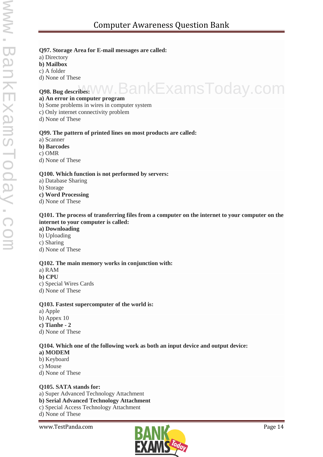- **Q97. Storage Area for E-mail messages are called:**
- a) Directory
- **b) Mailbox**
- c) A folder
- d) None of These

# **Q98. Bug describes:** www.BankExamsToday.com

#### **a) An error in computer program**

- b) Some problems in wires in computer system
- c) Only internet connectivity problem
- d) None of These

#### **Q99. The pattern of printed lines on most products are called:**

- a) Scanner
- **b) Barcodes**
- c) OMR
- d) None of These

#### **Q100. Which function is not performed by servers:**

- a) Database Sharing
- b) Storage
- **c) Word Processing**
- d) None of These

#### **Q101. The process of transferring files from a computer on the internet to your computer on the internet to your computer is called:**

- **a) Downloading**
- b) Uploading
- c) Sharing
- d) None of These

#### **Q102. The main memory works in conjunction with:**

- a) RAM
- **b) CPU**
- c) Special Wires Cards
- d) None of These

#### **Q103. Fastest supercomputer of the world is:**

- a) Apple
- b) Appex 10
- **c) Tianhe - 2**
- d) None of These

#### **Q104. Which one of the following work as both an input device and output device:**

- **a) MODEM**
- b) Keyboard
- c) Mouse
- d) None of These

#### **Q105. SATA stands for:**

- a) Super Advanced Technology Attachment
- **b) Serial Advanced Technology Attachment**
- c) Special Access Technology Attachment
- d) None of These

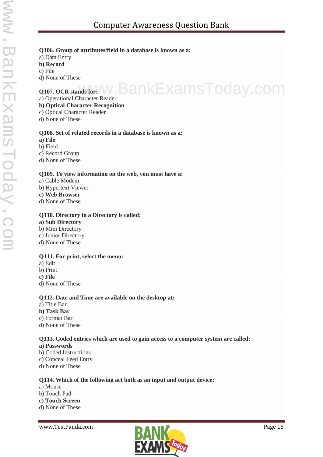#### **Q106. Group of attributes/field in a database is known as a:**

a) Data Entry

**b) Record**

c) File

d) None of These

# **Q107. OCR stands for://W.BankExamsToday.com**

a) Operational Character Reader

#### **b) Optical Character Recognition**

- c) Optical Character Reader
- d) None of These

#### **Q108. Set of related records in a database is known as a:**

**a) File**

b) Field

c) Record Group

d) None of These

#### **Q109. To view information on the web, you must have a:**

a) Cable Modem

- b) Hypertext Viewer
- **c) Web Browser**
- d) None of These

#### **Q110. Directory in a Directory is called:**

#### **a) Sub Directory**

- b) Mini Directory
- c) Junior Directory
- d) None of These

#### **Q111. For print, select the menu:**

- a) Edit
- b) Print
- **c) File**
- d) None of These

#### **Q112. Date and Time are available on the desktop at:**

- a) Title Bar
- **b) Task Bar**
- c) Format Bar
- d) None of These

#### **Q113. Coded entries which are used to gain access to a computer system are called:**

#### **a) Passwords**

- b) Coded Instructions
- c) Conceal Feed Entry
- d) None of These

#### **Q114. Which of the following act both as an input and output device:**

- a) Mouse
- b) Touch Pad
- **c) Touch Screen**
- d) None of These

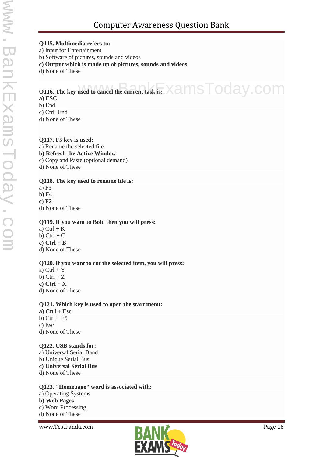# Computer Awareness Question Bank

#### **Q115. Multimedia refers to:**

a) Input for Entertainment

b) Software of pictures, sounds and videos

**c) Output which is made up of pictures, sounds and videos**

d) None of These

# Q116. The key used to cancel the current task is: XamsToday.COM

#### **a) ESC**

b) End

c) Ctrl+End

d) None of These

#### **Q117. F5 key is used:**

a) Rename the selected file **b) Refresh the Active Window** c) Copy and Paste (optional demand) d) None of These

#### **Q118. The key used to rename file is:**

a) F3 b) F4 **c) F2** d) None of These

#### **Q119. If you want to Bold then you will press:**

a)  $Ctrl + K$ b)  $Ctrl + C$ **c) Ctrl + B** d) None of These

#### **Q120. If you want to cut the selected item, you will press:**

- a)  $Ctrl + Y$
- b)  $Ctrl + Z$

**c) Ctrl + X**

d) None of These

#### **Q121. Which key is used to open the start menu:**

**a) Ctrl + Esc** b)  $Ctrl + F5$ c) Esc d) None of These

#### **Q122. USB stands for:**

a) Universal Serial Band b) Unique Serial Bus **c) Universal Serial Bus** d) None of These

#### **Q123. "Homepage" word is associated with:**

a) Operating Systems **b) Web Pages** c) Word Processing d) None of These

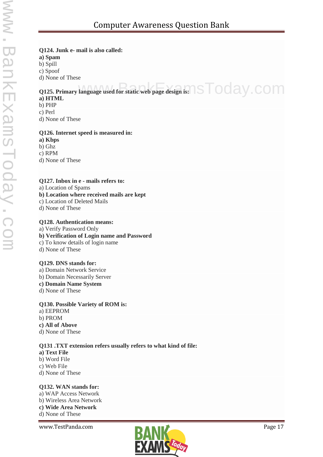#### **Q124. Junk e- mail is also called:**

**a) Spam**

b) Spill

c) Spoof

d) None of These

# Q125. Primary language used for static web page design is:  $\sqrt{\text{S}}$  Oday.com

#### **a) HTML**

- b) PHP
- c) Perl

d) None of These

#### **Q126. Internet speed is measured in:**

**a) Kbps**

b) Ghz

c) RPM

d) None of These

#### **Q127. Inbox in e - mails refers to:**

a) Location of Spams

**b) Location where received mails are kept**

- c) Location of Deleted Mails
- d) None of These

#### **Q128. Authentication means:**

a) Verify Password Only

- **b) Verification of Login name and Password**
- c) To know details of login name
- d) None of These

#### **Q129. DNS stands for:**

- a) Domain Network Service
- b) Domain Necessarily Server
- **c) Domain Name System**
- d) None of These

#### **Q130. Possible Variety of ROM is:**

a) EEPROM b) PROM **c) All of Above** d) None of These

#### **Q131 .TXT extension refers usually refers to what kind of file:**

- **a) Text File**
- b) Word File
- c) Web File
- d) None of These

#### **Q132. WAN stands for:**

a) WAP Access Network b) Wireless Area Network **c) Wide Area Network** d) None of These

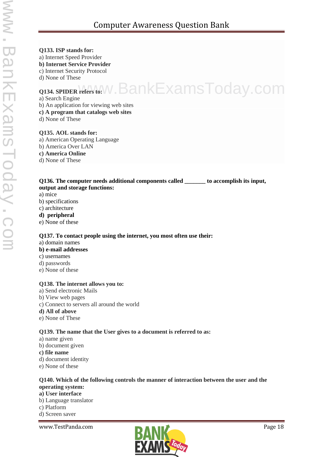## **Q133. ISP stands for:** a) Internet Speed Provider **b) Internet Service Provider** c) Internet Security Protocol d) None of These **Q134. SPIDER refers to:** www.BankExamsToday.com a) Search Engine b) An application for viewing web sites **c) A program that catalogs web sites** d) None of These **Q135. AOL stands for:** a) American Operating Language b) America Over LAN **c) America Online** d) None of These **Q136. The computer needs additional components called \_\_\_\_\_\_\_ to accomplish its input, output and storage functions:**

- a) mice
- b) specifications
- c) architecture
- **d) peripheral**
- e) None of these

#### **Q137. To contact people using the internet, you most often use their:**

a) domain names

#### **b) e-mail addresses**

- c) usernames
- d) passwords
- e) None of these

#### **Q138. The internet allows you to:**

- a) Send electronic Mails
- b) View web pages
- c) Connect to servers all around the world
- **d) All of above**
- e) None of These

#### **Q139. The name that the User gives to a document is referred to as:**

- a) name given
- b) document given

#### **c) file name**

- d) document identity
- e) None of these

#### **Q140. Which of the following controls the manner of interaction between the user and the operating system:**

#### **a) User interface**

- b) Language translator
- c) Platform
- d) Screen saver

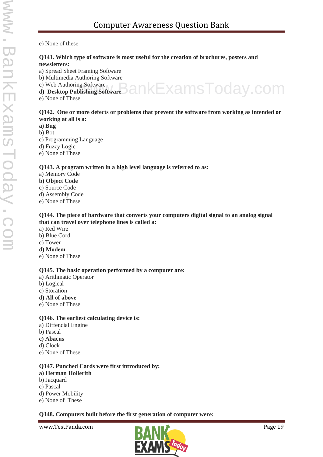e) None of these

#### **Q141. Which type of software is most useful for the creation of brochures, posters and newsletters:**

- a) Spread Sheet Framing Software
- b) Multimedia Authoring Software
- c) Web Authoring Software

c) Web Authoring Software<br>**d**) Desktop Publishing Software **BankExamsToday**.com

e) None of These

#### **Q142. One or more defects or problems that prevent the software from working as intended or working at all is a:**

- **a) Bug**
- b) Bot
- c) Programming Language
- d) Fuzzy Logic
- e) None of These

#### **Q143. A program written in a high level language is referred to as:**

- a) Memory Code
- **b) Object Code**
- c) Source Code
- d) Assembly Code
- e) None of These

#### **Q144. The piece of hardware that converts your computers digital signal to an analog signal that can travel over telephone lines is called a:**

- a) Red Wire
- b) Blue Cord
- c) Tower
- **d) Modem**
- e) None of These

#### **Q145. The basic operation performed by a computer are:**

- a) Arithmatic Operator
- b) Logical
- c) Storation
- **d) All of above**
- e) None of These

#### **Q146. The earliest calculating device is:**

- a) Diffencial Engine
- b) Pascal
- **c) Abacus**
- d) Clock
- e) None of These

#### **Q147. Punched Cards were first introduced by:**

#### **a) Herman Hollerith**

- b) Jacquard
- c) Pascal
- d) Power Mobility
- e) None of These

#### **Q148. Computers built before the first generation of computer were:**

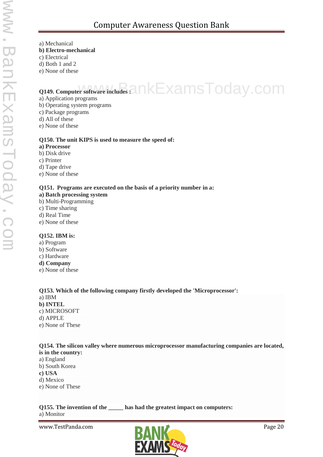- a) Mechanical
- **b) Electro-mechanical**
- c) Electrical
- d) Both 1 and 2
- e) None of these

# **Q149.** Computer software includes  $a$ nkExamsToday.com

- a) Application programs
- b) Operating system programs
- c) Package programs
- d) All of these
- e) None of these

#### **Q150. The unit KIPS is used to measure the speed of:**

- **a) Processor**
- b) Disk drive
- c) Printer
- d) Tape drive
- e) None of these

#### **Q151. Programs are executed on the basis of a priority number in a:**

- **a) Batch processing system**
- b) Multi-Programming
- c) Time sharing
- d) Real Time
- e) None of these

#### **Q152. IBM is:**

- a) Program
- b) Software
- c) Hardware
- **d) Company**
- e) None of these

#### **Q153. Which of the following company firstly developed the 'Microprocessor':**

- a) IBM
- **b) INTEL** c) MICROSOFT d) APPLE
- e) None of These

#### **Q154. The silicon valley where numerous microprocessor manufacturing companies are located, is in the country:**

- a) England b) South Korea
- **c) USA**
- d) Mexico
- e) None of These

# a) Monitor

**Q155. The invention of the \_\_\_\_\_ has had the greatest impact on computers:**

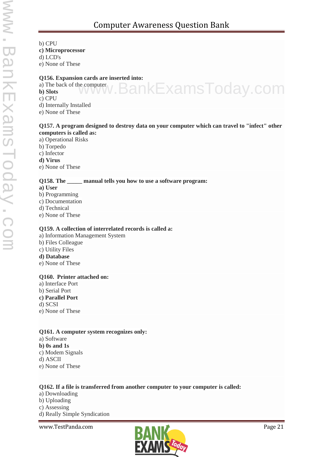b) CPU **c) Microprocessor**

d) LCD's

e) None of These

#### **Q156. Expansion cards are inserted into:**

a) The back of the computer **b) Slots**

c) CPU

- d) Internally Installed
- e) None of These

#### **Q157. A program designed to destroy data on your computer which can travel to "infect" other computers is called as:**

www.BankExamsToday.com

- a) Operational Risks
- b) Torpedo
- c) Infector
- **d) Virus**

e) None of These

#### **Q158. The \_\_\_\_\_ manual tells you how to use a software program:**

- **a) User**
- b) Programming
- c) Documentation
- d) Technical
- e) None of These

#### **Q159. A collection of interrelated records is called a:**

- a) Information Management System
- b) Files Colleague
- c) Utility Files
- **d) Database**
- e) None of These

#### **Q160. Printer attached on:**

- a) Interface Port
- b) Serial Port
- **c) Parallel Port**
- d) SCSI
- e) None of These

#### **Q161. A computer system recognizes only:**

- a) Software
- **b) 0s and 1s**
- c) Modem Signals
- d) ASCII
- e) None of These

#### **Q162. If a file is transferred from another computer to your computer is called:**

a) Downloading b) Uploading c) Assessing d) Really Simple Syndication

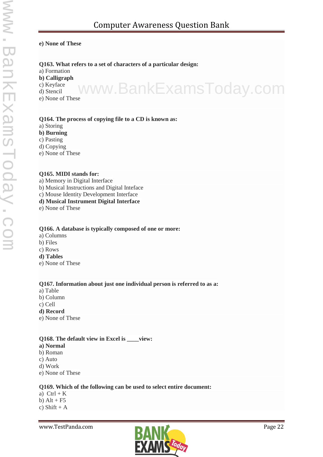#### **e) None of These**

#### **Q163. What refers to a set of characters of a particular design:**

- a) Formation
- **b) Calligraph**
- c) Keyface
- d) Stencil
- e) None of These www.BankExamsToday.com

#### **Q164. The process of copying file to a CD is known as:**

- a) Storing
- **b) Burning**
- c) Pasting
- d) Copying
- e) None of These

#### **Q165. MIDI stands for:**

- a) Memory in Digital Interface
- b) Musical Instructions and Digital Inteface
- c) Mouse Identity Development Interface
- **d) Musical Instrument Digital Interface**
- e) None of These

#### **Q166. A database is typically composed of one or more:**

- a) Columns
- b) Files
- c) Rows
- **d) Tables**
- e) None of These

#### **Q167. Information about just one individual person is referred to as a:**

- a) Table
- b) Column
- c) Cell
- **d) Record**
- e) None of These

#### **Q168. The default view in Excel is \_\_\_\_view:**

- **a) Normal**
- b) Roman
- c) Auto
- d) Work
- e) None of These

#### **Q169. Which of the following can be used to select entire document:**

a)  $Ctrl + K$ b)  $Alt + F5$ c) Shift +  $A$ 

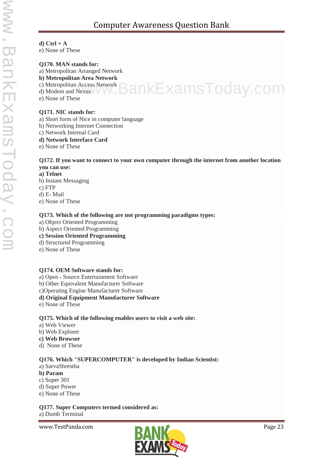# Computer Awareness Question Bank

#### **d) Ctrl + A**

e) None of These

#### **Q170. MAN stands for:**

a) Metropolitan Arranged Network

#### **b) Metropolitan Area Network**

- c) Metropolitan Access Network
- c) Metropolitan Access Network **BankExamsToday.com**
- e) None of These

#### **Q171. NIC stands for:**

- a) Short form of Nice in computer language
- b) Networking Internet Connection
- c) Network Internal Card
- **d) Network Interface Card**
- e) None of These

#### **Q172. If you want to connect to your own computer through the internet from another location you can use:**

- **a) Telnet**
- b) Instant Messaging
- c) FTP
- d) E- Mail
- e) None of These

#### **Q173. Which of the following are not programming paradigms types:**

- a) Object Oriented Programming
- b) Aspect Oriented Programming
- **c) Session Oriented Programming**
- d) Structured Programming
- e) None of These

#### **Q174. OEM Software stands for:**

- a) Open Source Entertainment Software
- b) Other Equivalent Manufacturer Software
- c)Operating Engine Manufacturer Software
- **d) Original Equipment Manufacturer Software**
- e) None of These

#### **Q175. Which of the following enables users to visit a web site:**

- a) Web Viewer
- b) Web Explorer
- **c) Web Browser**
- d) None of These

#### **Q176. Which "SUPERCOMPUTER" is developed by Indian Scientist:**

- a) SarvaShrestha
- **b) Param**
- c) Super 301
- d) Super Power
- e) None of These

#### **Q177. Super Computers termed considered as:**

a) Dumb Terminal

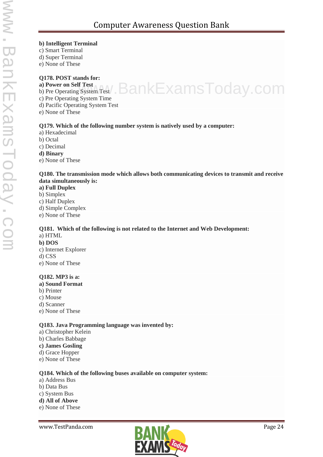#### **b) Intelligent Terminal**

- c) Smart Terminal
- d) Super Terminal
- e) None of These

#### **Q178. POST stands for:**

- **a) Power on Self Test** a) Power on Self Test<br>b) Pre Operating System Test / BankExamsToday.com
- 
- c) Pre Operating System Time
- d) Pacific Operating System Test
- e) None of These

#### **Q179. Which of the following number system is natively used by a computer:**

- a) Hexadecimal
- b) Octal
- c) Decimal
- **d) Binary**
- e) None of These

#### **Q180. The transmission mode which allows both communicating devices to transmit and receive data simultaneously is:**

- **a) Full Duplex**
- b) Simplex
- c) Half Duplex
- d) Simple Complex
- e) None of These

### **Q181. Which of the following is not related to the Internet and Web Development:** a) HTML

- **b) DOS**
- c) Internet Explorer
- d) CSS
- e) None of These

#### **Q182. MP3 is a:**

- **a) Sound Format**
- b) Printer
- c) Mouse
- d) Scanner
- e) None of These

#### **Q183. Java Programming language was invented by:**

- a) Christopher Kelein
- b) Charles Babbage
- **c) James Gosling**
- d) Grace Hopper
- e) None of These

#### **Q184. Which of the following buses available on computer system:**

- a) Address Bus
- b) Data Bus
- c) System Bus
- **d) All of Above**
- e) None of These

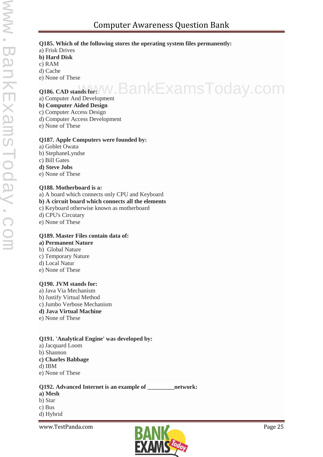#### **Q185. Which of the following stores the operating system files permanently:**

- a) Frisk Drives
- **b) Hard Disk**
- c) RAM
- d) Cache
- e) None of These

# **Q186. CAD stands for://W.BankExamsToday.com**

a) Computer And Development

#### **b) Computer Aided Design**

- c) Computer Access Design
- d) Computer Access Development
- e) None of These

#### **Q187. Apple Computers were founded by:**

- a) Goblet Owata
- b) StephaneLyndse
- c) Bill Gates
- **d) Steve Jobs**
- e) None of These

#### **Q188. Motherboard is a:**

- a) A board which connects only CPU and Keyboard
- **b) A circuit board which connects all the elements**
- c) Keyboard otherwise known as motherboard
- d) CPU's Circutary
- e) None of These

#### **Q189. Master Files contain data of: a) Permanent Nature**

- b) Global Nature
- c) Temporary Nature
- d) Local Natur
- e) None of These

#### **Q190. JVM stands for:**

a) Java Via Mechanism b) Justify Virtual Method c) Jumbo Verbose Mechanism **d) Java Virtual Machine** e) None of These

#### **Q191. 'Analytical Engine' was developed by:**

- a) Jacquard Loom
- b) Shannon
- **c) Charles Babbage**
- d) IBM
- e) None of These

#### **Q192. Advanced Internet is an example of \_\_\_\_\_\_\_\_\_network:**

- **a) Mesh**
- b) Star
- c) Bus
- d) Hybrid

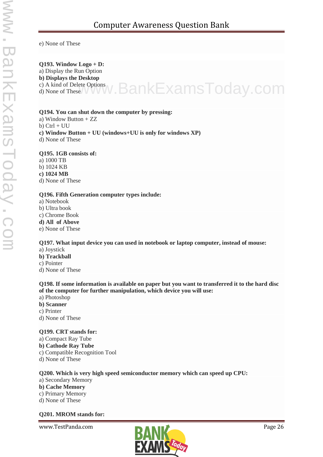e) None of These

#### **Q193. Window Logo + D:**

a) Display the Run Option

#### **b) Displays the Desktop**

c) A kind of Delete Options c) A kind of Delete Options<br>d) None of These V VV W . BankExamsToday.com

#### **Q194. You can shut down the computer by pressing:**

- a) Window Button + ZZ
- b)  $Ctrl + UU$
- **c) Window Button + UU (windows+UU is only for windows XP)**
- d) None of These

#### **Q195. 1GB consists of:**

a) 1000 TB

b) 1024 KB

**c) 1024 MB**

d) None of These

#### **Q196. Fifth Generation computer types include:**

- a) Notebook
- b) Ultra book
- c) Chrome Book

#### **d) All of Above**

e) None of These

#### **Q197. What input device you can used in notebook or laptop computer, instead of mouse:**

- a) Joystick
- **b) Trackball**
- c) Pointer
- d) None of These

#### **Q198. If some information is available on paper but you want to transferred it to the hard disc of the computer for further manipulation, which device you will use:**

- a) Photoshop
- **b) Scanner**
- c) Printer
- d) None of These

#### **Q199. CRT stands for:**

- a) Compact Ray Tube
- **b) Cathode Ray Tube**
- c) Compatible Recognition Tool
- d) None of These

#### **Q200. Which is very high speed semiconductor memory which can speed up CPU:**

- a) Secondary Memory
- **b) Cache Memory**
- c) Primary Memory
- d) None of These

#### **Q201. MROM stands for:**

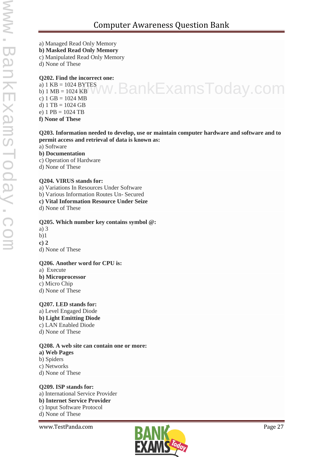- a) Managed Read Only Memory
- **b) Masked Read Only Memory**
- c) Manipulated Read Only Memory
- d) None of These

#### **Q202. Find the incorrect one:**

a) 1 KB = 1024 BYTES b)  $1 \text{ MB} = 1024 \text{ KB}$ c)  $1 \text{ GB} = 1024 \text{ MB}$ d)  $1 \text{ TB} = 1024 \text{ GB}$ e)  $1$  PB = 1024 TB **f) None of These**

#### **Q203. Information needed to develop, use or maintain computer hardware and software and to permit access and retrieval of data is known as:**

w.BankExamsToday.com

- a) Software
- **b) Documentation**
- c) Operation of Hardware
- d) None of These

#### **Q204. VIRUS stands for:**

- a) Variations In Resources Under Software
- b) Various Information Routes Un- Secured
- **c) Vital Information Resource Under Seize**

d) None of These

#### **Q205. Which number key contains symbol @:**

- a) 3
- b)1
- **c) 2**
- d) None of These

#### **Q206. Another word for CPU is:**

- a) Execute
- **b) Microprocessor**
- c) Micro Chip
- d) None of These

#### **Q207. LED stands for:**

a) Level Engaged Diode **b) Light Emitting Diode** c) LAN Enabled Diode d) None of These

#### **Q208. A web site can contain one or more:**

- **a) Web Pages**
- b) Spiders
- c) Networks
- d) None of These

#### **Q209. ISP stands for:** a) International Service Provider

- **b) Internet Service Provider**
- c) Input Software Protocol
- d) None of These

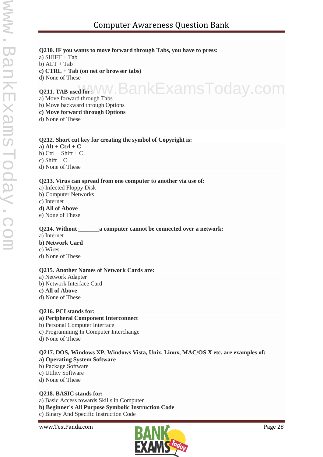#### **Q210. IF you wants to move forward through Tabs, you have to press:**

a)  $SHIFT + Tab$  $b)$  ALT + Tab

**c) CTRL + Tab (on net or browser tabs)**

d) None of These

#### **Q211. TAB used for:** BankExamsToday.com

a) Move forward through Tabs

b) Move backward through Options

**c) Move forward through Options**

d) None of These

#### **Q212. Short cut key for creating the symbol of Copyright is:**

 $a)$  Alt + Ctrl + C b)  $Ctrl + Shift + C$ c) Shift  $+ C$ d) None of These

#### **Q213. Virus can spread from one computer to another via use of:**

a) Infected Floppy Disk b) Computer Networks c) Internet **d) All of Above** e) None of These

#### **Q214. Without a computer cannot be connected over a network:**

### a) Internet

**b) Network Card** c) Wires

d) None of These

#### **Q215. Another Names of Network Cards are:**

a) Network Adapter b) Network Interface Card **c) All of Above** d) None of These

#### **Q216. PCI stands for:**

#### **a) Peripheral Component Interconnect**

- b) Personal Computer Interface
- c) Programming In Computer Interchange
- d) None of These

#### **Q217. DOS, Windows XP, Windows Vista, Unix, Linux, MAC/OS X etc. are examples of: a) Operating System Software**

- b) Package Software
- c) Utility Software
- d) None of These

#### **Q218. BASIC stands for:**

a) Basic Access towards Skills in Computer **b) Beginner's All Purpose Symbolic Instruction Code** c) Binary And Specific Instruction Code

www.TestPanda.com **Page 28** 

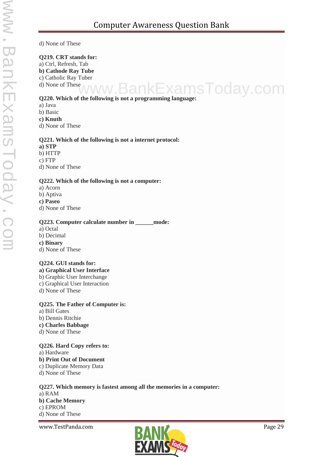d) None of These

#### **Q219. CRT stands for:**

a) Ctrl, Refresh, Tab

**b) Cathode Ray Tube** c) Catholic Ray Tuber

d) None of These

### **Q220. Which of the following is not a programming language:** ExamsToday.com

- a) Java
- b) Basic
- **c) Knuth**

d) None of These

#### **Q221. Which of the following is not a internet protocol:**

#### **a) STP**

b) HTTP

c) FTP

d) None of These

#### **Q222. Which of the following is not a computer:**

- a) Acorn
- b) Aptiva

#### **c) Paseo**

d) None of These

#### **Q223. Computer calculate number in \_\_\_\_\_\_mode:**

- a) Octal
- b) Decimal
- **c) Binary**
- d) None of These

#### **Q224. GUI stands for:**

- **a) Graphical User Interface**
- b) Graphic User Interchange
- c) Graphical User Interaction
- d) None of These

#### **Q225. The Father of Computer is:**

- a) Bill Gates
- b) Dennis Ritchie
- **c) Charles Babbage**
- d) None of These

#### **Q226. Hard Copy refers to:**

- a) Hardware
- **b) Print Out of Document**
- c) Duplicate Memory Data
- d) None of These

#### **Q227. Which memory is fastest among all the memories in a computer:**

a) RAM **b) Cache Memory** c) EPROM d) None of These

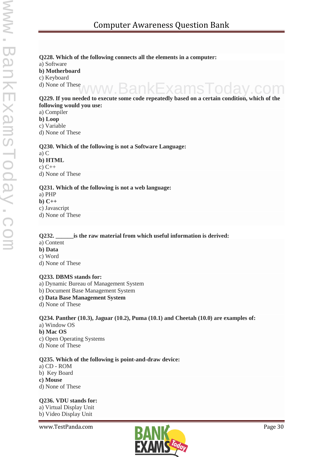# **Q228. Which of the following connects all the elements in a computer:**

a) Software

**b) Motherboard**

c) Keyboard

d) None of These

# **Q229. If you needed to execute some code repeatedly based on a certain condition, which of the following would you use:** www.BankExamsToday.com

#### a) Compiler

**b) Loop**

c) Variable

d) None of These

#### **Q230. Which of the following is not a Software Language:**

a) C

**b) HTML**

c) C++

d) None of These

#### **Q231. Which of the following is not a web language:**

a) PHP

**b) C++**

c) Javascript

d) None of These

#### **Q232. \_\_\_\_\_\_is the raw material from which useful information is derived:**

- a) Content
- **b) Data**
- c) Word
- d) None of These

#### **Q233. DBMS stands for:**

- a) Dynamic Bureau of Management System
- b) Document Base Management System
- **c) Data Base Management System**
- d) None of These

#### **Q234. Panther (10.3), Jaguar (10.2), Puma (10.1) and Cheetah (10.0) are examples of:** a) Window OS

- **b) Mac OS**
- c) Open Operating Systems d) None of These

#### **Q235. Which of the following is point-and-draw device:**

- a) CD ROM
- b) Key Board
- **c) Mouse**
- d) None of These

#### **Q236. VDU stands for:**

a) Virtual Display Unit

b) Video Display Unit

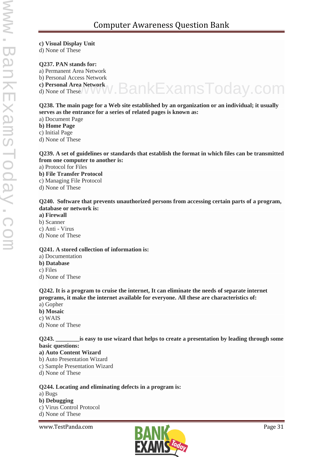#### **c) Visual Display Unit**

d) None of These

#### **Q237. PAN stands for:**

a) Permanent Area Network

b) Personal Access Network

**c) Personal Area Network**

d) None of These

#### **Q238. The main page for a Web site established by an organization or an individual; it usually serves as the entrance for a series of related pages is known as:**

www.BankExamsToday.com

a) Document Page

**b) Home Page**

c) Initial Page

d) None of These

#### **Q239. A set of guidelines or standards that establish the format in which files can be transmitted from one computer to another is:**

a) Protocol for Files

- **b) File Transfer Protocol** c) Managing File Protocol
- d) None of These

#### **Q240. Software that prevents unauthorized persons from accessing certain parts of a program, database or network is:**

- **a) Firewall**
- b) Scanner
- c) Anti Virus
- d) None of These

#### **Q241. A stored collection of information is:**

- a) Documentation
- **b) Database**
- c) Files
- d) None of These

#### **Q242. It is a program to cruise the internet, It can eliminate the needs of separate internet programs, it make the internet available for everyone. All these are characteristics of:**

- a) Gopher
- **b) Mosaic**
- c) WAIS
- d) None of These

#### **Q243. \_\_\_\_\_\_\_\_is easy to use wizard that helps to create a presentation by leading through some basic questions:**

- **a) Auto Content Wizard**
- b) Auto Presentation Wizard
- c) Sample Presentation Wizard
- d) None of These

#### **Q244. Locating and eliminating defects in a program is:**

- a) Bugs
- **b) Debugging**
- c) Virus Control Protocol
- d) None of These

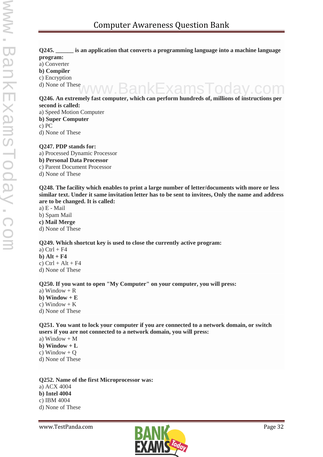#### **Q245. \_\_\_\_\_\_ is an application that converts a programming language into a machine language program:** a) Converter **b) Compiler**

c) Encryption

d) None of These

# **Q246. An extremely fast computer, which can perform hundreds of, millions of instructions per second is called:** www.BankExamsToday.com

a) Speed Motion Computer

**b) Super Computer**

c) PC

d) None of These

#### **Q247. PDP stands for:**

a) Processed Dynamic Processor **b) Personal Data Processor** c) Parent Document Processor d) None of These

**Q248. The facility which enables to print a large number of letter/documents with more or less similar text. Under it same invitation letter has to be sent to invitees, Only the name and address are to be changed. It is called:**

a) E - Mail b) Spam Mail **c) Mail Merge** d) None of These

#### **Q249. Which shortcut key is used to close the currently active program:**

a)  $Ctrl + F4$ **b) Alt + F4** c)  $Ctrl + Alt + F4$ d) None of These

#### **Q250. If you want to open "My Computer" on your computer, you will press:**

- a) Window  $+$  R
- **b**) Window  $+ E$
- c) Window  $+ K$
- d) None of These

#### **Q251. You want to lock your computer if you are connected to a network domain, or switch users if you are not connected to a network domain, you will press:**

- a) Window  $+ M$
- **b**) Window  $+L$
- c) Window  $+$  Q
- d) None of These

**Q252. Name of the first Microprocessor was:** a) ACX 4004 **b) Intel 4004** c) IBM 4004 d) None of These

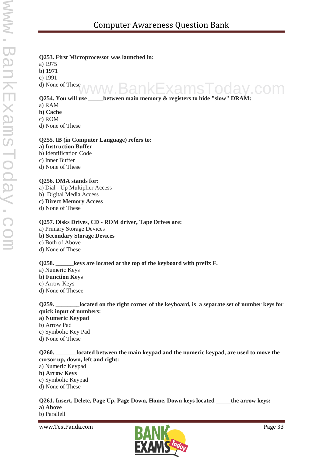#### **Q253. First Microprocessor was launched in:**

a) 1975 **b) 1971** c) 1991

d) None of These

# **Q254. You will use \_\_\_\_\_between main memory & registers to hide "slow" DRAM:** www.BankExamsToday.com

#### a) RAM

- **b) Cache**
- c) ROM

d) None of These

#### **Q255. IB (in Computer Language) refers to:**

- **a) Instruction Buffer** b) Identification Code
- c) Inner Buffer d) None of These

#### **Q256. DMA stands for:**

- a) Dial Up Multiplier Access
- b) Digital Media Access
- **c) Direct Memory Access**
- d) None of These

#### **Q257. Disks Drives, CD - ROM driver, Tape Drives are:**

- a) Primary Storage Devices
- **b) Secondary Storage Devices**
- c) Both of Above
- d) None of These

#### **Q258. \_\_\_\_\_\_keys are located at the top of the keyboard with prefix F.**

- a) Numeric Keys
- **b) Function Keys**
- c) Arrow Keys
- d) None of Thesee

#### **Q259. \_\_\_\_\_\_\_\_located on the right corner of the keyboard, is a separate set of number keys for quick input of numbers: a) Numeric Keypad**

- b) Arrow Pad
- c) Symbolic Key Pad
- d) None of These

#### **Q260. \_\_\_\_\_\_\_located between the main keypad and the numeric keypad, are used to move the cursor up, down, left and right:**

- a) Numeric Keypad
- **b) Arrow Keys**
- c) Symbolic Keypad
- d) None of These

### **Q261. Insert, Delete, Page Up, Page Down, Home, Down keys located \_\_\_\_\_the arrow keys: a) Above**

b) Parallell

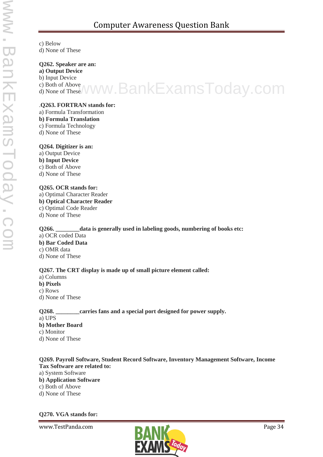c) Below d) None of These

**Q262. Speaker are an:**

**a) Output Device**

b) Input Device

c) Both of Above d) None of These www.BankExamsToday.com

#### .**Q263. FORTRAN stands for:**

- a) Formula Transformation
- **b) Formula Translation**
- c) Formula Technology
- d) None of These

#### **Q264. Digitizer is an:**

a) Output Device **b) Input Device** c) Both of Above d) None of These

#### **Q265. OCR stands for:**

a) Optimal Character Reader **b) Optical Character Reader** c) Optimal Code Reader d) None of These

**Q266. \_\_\_\_\_\_\_\_data is generally used in labeling goods, numbering of books etc:** a) OCR coded Data **b) Bar Coded Data** c) OMR data

d) None of These

#### **Q267. The CRT display is made up of small picture element called:**

- a) Columns
- **b) Pixels**
- c) Rows
- d) None of These

### **Q268. \_\_\_\_\_\_\_\_carries fans and a special port designed for power supply.**

- a) UPS
- **b) Mother Board**
- c) Monitor
- d) None of These

#### **Q269. Payroll Software, Student Record Software, Inventory Management Software, Income Tax Software are related to:**

- a) System Software
- **b) Application Software**
- c) Both of Above
- d) None of These

#### **Q270. VGA stands for:**

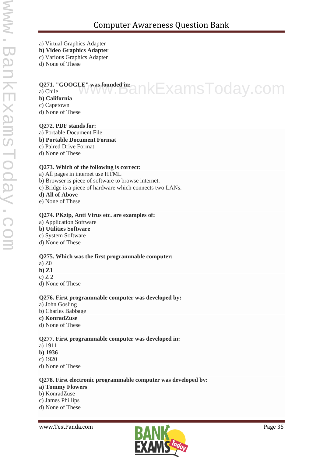a) Virtual Graphics Adapter

- **b) Video Graphics Adapter**
- c) Various Graphics Adapter
- d) None of These

### **Q271. "GOOGLE" was founded in:** Q271. "GOOGLE" was founded in a n kExamsToday.com

### **b) California**

- c) Capetown
- d) None of These

#### **Q272. PDF stands for:**

#### a) Portable Document File

- **b) Portable Document Format**
- c) Paired Drive Format
- d) None of These

#### **Q273. Which of the following is correct:**

a) All pages in internet use HTML b) Browser is piece of software to browse internet. c) Bridge is a piece of hardware which connects two LANs.

- **d) All of Above**
- e) None of These

#### **Q274. PKzip, Anti Virus etc. are examples of:**

- a) Application Software
- **b) Utilities Software**
- c) System Software
- d) None of These

#### **Q275. Which was the first programmable computer:**

- a) Z0
- **b) Z1**
- $c)$  Z 2
- d) None of These

#### **Q276. First programmable computer was developed by:**

- a) John Gosling
- b) Charles Babbage
- **c) KonradZuse**
- d) None of These

#### **Q277. First programmable computer was developed in:**

- a) 1911
- **b) 1936**
- c) 1920
- d) None of These

#### **Q278. First electronic programmable computer was developed by:**

- **a) Tommy Flowers**
- b) KonradZuse
- c) James Phillips
- d) None of These

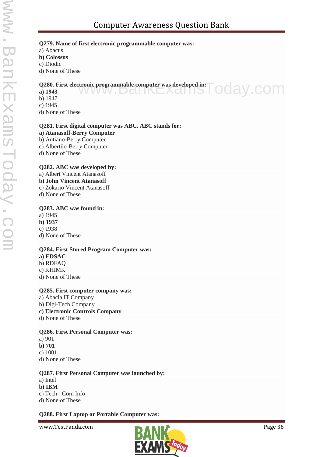#### **Q279. Name of first electronic programmable computer was:**

a) Abacus

**b) Colossus**

c) Diodic

d) None of These

# **Q280. First electronic programmable computer was developed in:**

**a) 1943** pday.com

- b) 1947
- c) 1945

d) None of These

#### **Q281. First digital computer was ABC. ABC stands for:**

**a) Atanasoff-Berry Computer**

b) Antiano-Berry Computer

c) Albertiio-Berry Computer

d) None of These

#### **Q282. ABC was developed by:**

a) Albert Vincent Atanasoff **b) John Vincent Atanasoff** c) Zokario Vincent Atanasoff

d) None of These

#### **Q283. ABC was found in:**

a) 1945 **b) 1937**

c) 1938 d) None of These

#### **Q284. First Stored Program Computer was:**

**a) EDSAC** b) RDFAQ c) KHIMK d) None of These

#### **Q285. First computer company was:**

a) Abacia IT Company b) Digi-Tech Company **c) Electronic Controls Company** d) None of These

#### **Q286. First Personal Computer was:**

- a) 901
- **b) 701**
- c) 1001
- d) None of These

#### **Q287. First Personal Computer was launched by:**

#### a) Intel

**b) IBM** c) Tech - Com Info

d) None of These

#### **Q288. First Laptop or Portable Computer was:**

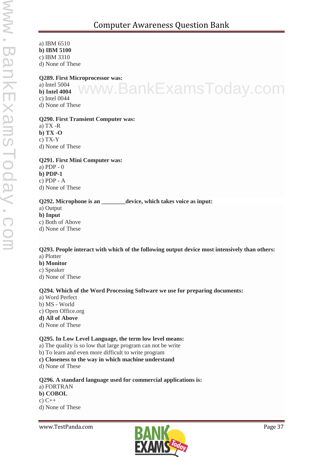a) IBM 6510 **b) IBM 5100** c) IBM 3310 d) None of These

#### **Q289. First Microprocessor was:**

a) Intel 5004 **b) Intel 4004** c) Intel 0044 d) None of These

# w.BankExamsToday.com

#### **Q290. First Transient Computer was:**

a) TX -R **b) TX -O** c) TX-Y d) None of These

#### **Q291. First Mini Computer was:**

a) PDP - 0 **b) PDP-1** c) PDP - A d) None of These

#### **Q292. Microphone is an \_\_\_\_\_\_\_\_device, which takes voice as input:**

a) Output

**b) Input**

c) Both of Above

d) None of These

#### **Q293. People interact with which of the following output device most intensively than others:** a) Plotter

- 
- **b) Monitor**
- c) Speaker
- d) None of These

#### **Q294. Which of the Word Processing Software we use for preparing documents:**

- a) Word Perfect
- b) MS World
- c) Open Office.org
- **d) All of Above**
- d) None of These

#### **Q295. In Low Level Language, the term low level means:**

- a) The quality is so low that large program can not be write
- b) To learn and even more difficult to write program
- **c) Closeness to the way in which machine understand**
- d) None of These

**Q296. A standard language used for commercial applications is:** a) FORTRAN **b) COBOL** c)  $C++$ d) None of These

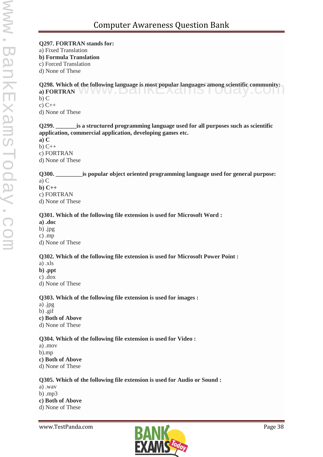#### **Q297. FORTRAN stands for:**

a) Fixed Translation

**b) Formula Translation**

c) Forced Translation

d) None of These

**Q298. Which of the following language is most popular languages among scientific community: Q298. Which of the following language is most popular languages among scientific community:**<br>a) FORTRAN b) C

c) C++

d) None of These

#### **Q299. \_\_\_\_\_\_\_is a structured programming language used for all purposes such as scientific application, commercial application, developing games etc.**

**a) C**

 $b)$  C++

c) FORTRAN

d) None of These

#### **Q300. \_\_\_\_\_\_\_\_\_is popular object oriented programming language used for general purpose:**

a) C

**b) C++**

c) FORTRAN

d) None of These

#### **Q301. Which of the following file extension is used for Microsoft Word :**

**a) .doc**

b) .jpg

c) .mp

d) None of These

#### **Q302. Which of the following file extension is used for Microsoft Power Point :**

- a) .xls
- **b) .ppt**

c) .dox

d) None of These

#### **Q303. Which of the following file extension is used for images :**

a) .jpg

b) .gif

- **c) Both of Above**
- d) None of These

#### **Q304. Which of the following file extension is used for Video :**

a) .mov b).mp **c) Both of Above**

d) None of These

#### **Q305. Which of the following file extension is used for Audio or Sound :**

a) .wav

b) .mp3

**c) Both of Above**

d) None of These

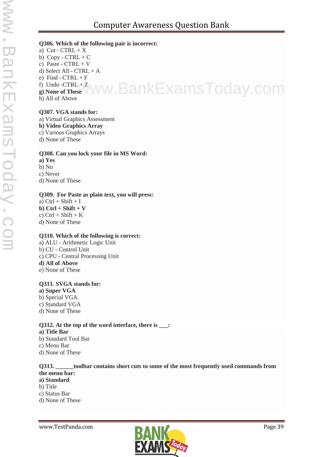#### **Q306. Which of the following pair is incorrect:**

a) Cut -  $CTRL + X$ b)  $Copy - CTRL + C$ c) Paste -  $CTRL + V$ d) Select All - CTRL + A e) Find -  $CTRL + F$ f) Undo  $-CTRL + Z$ 

**g) None of These** www.BankExamsToday.com

h) All of Above

#### **Q307. VGA stands for:**

a) Virtual Graphics Assessment

#### **b) Video Graphics Array**

- c) Various Graphics Arrays
- d) None of These

#### **Q308. Can you lock your file in MS Word:**

- **a) Yes** b) No c) Never
- d) None of These

#### **Q309. For Paste as plain text, you will press:**

a)  $Ctrl + Shift + I$ **b) Ctrl + Shift + V** c)  $Ctrl + Shift + K$ d) None of These

#### **Q310. Which of the following is correct:**

a) ALU - Arithmetic Logic Unit b) CU - Control Unit c) CPU - Central Processing Unit **d) All of Above** e) None of These

#### **Q311. SVGA stands for:**

- **a) Super VGA**
- b) Special VGA
- c) Standard VGA
- d) None of These

#### **Q312. At the top of the word interface, there is \_\_\_: a) Title Bar**

- b) Standard Tool Bar
- c) Menu Bar
- d) None of These

#### **Q313. \_\_\_\_\_\_toolbar contains short cuts to some of the most frequently used commands from the menu bar:**

- **a) Standard**
- b) Title
- c) Status Bar
- d) None of These

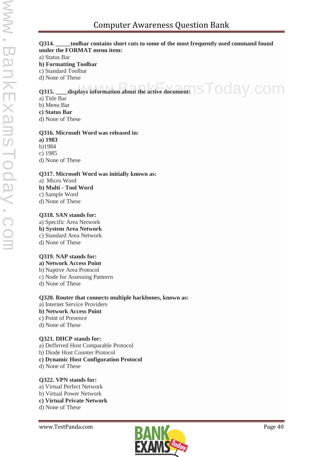# Computer Awareness Question Bank

#### **Q314. \_\_\_\_\_toolbar contains short cuts to some of the most frequently used command found under the FORMAT menu item:**

a) Status Bar

#### **b) Formatting Toolbar**

c) Standard Toolbar

d) None of These

# **Q315.** \_\_\_\_displays information about the active document: STOOay.com

a) Title Bar

- b) Menu Bar
- **c) Status Bar**

d) None of These

#### **Q316. Microsoft Word was released in:**

**a) 1983** b)1984

c) 1985

d) None of These

#### **Q317. Microsoft Word was initially known as:**

a) Micro Word

- **b) Multi - Tool Word**
- c) Sample Word
- d) None of These

#### **Q318. SAN stands for:**

a) Specific Area Network **b) System Area Network** c) Standard Area Network d) None of These

#### **Q319. NAP stands for:**

**a) Network Access Point** b) Naptive Area Protocol c) Node for Assessing Patteern

d) None of These

**Q320. Router that connects multiple backbones, known as:** a) Internet Service Providers **b) Network Access Point**

- c) Point of Presence
- d) None of These

#### **Q321. DHCP stands for:**

a) Defferred Host Comparable Protocol

- b) Diode Host Counter Protocol
- **c) Dynamic Host Configuration Protocol**
- d) None of These

#### **Q322. VPN stands for:**

- a) Virtual Perfect Network
- b) Virtual Power Network
- **c) Virtual Private Network**

d) None of These

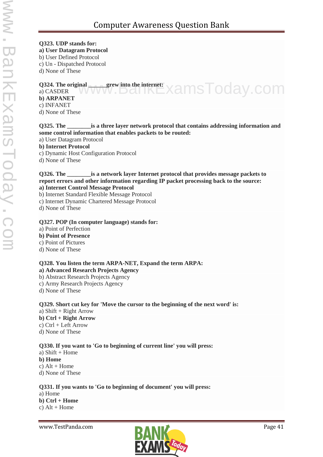# **Q323. UDP stands for:**

**a) User Datagram Protocol**

b) User Defined Protocol

c) Un - Dispatched Protocol

d) None of These

#### **Q324. The original \_\_\_\_\_\_grew into the internet:** Q324. The original grew into the internet:<br>a) CASDER WWW.DOITKEXAMSTOday.COM

# **b) ARPANET** c) INFANET

d) None of These

#### **Q325. The \_\_\_\_\_\_\_\_is a three layer network protocol that contains addressing information and some control information that enables packets to be routed:**

a) User Datagram Protocol

### **b) Internet Protocol**

c) Dynamic Host Configuration Protocol

d) None of These

#### **Q326. The \_\_\_\_\_\_\_\_is a network layer Internet protocol that provides message packets to report errors and other information regarding IP packet processing back to the source: a) Internet Control Message Protocol**

- b) Internet Standard Flexible Message Protocol
- c) Internet Dynamic Chartered Message Protocol

d) None of These

## **Q327. POP (In computer language) stands for:**

- a) Point of Perfection
- **b) Point of Presence**
- c) Point of Pictures
- d) None of These

# **Q328. You listen the term ARPA-NET, Expand the term ARPA:**

- **a) Advanced Research Projects Agency**
- b) Abstract Research Projects Agency
- c) Army Research Projects Agency
- d) None of These

# **Q329. Short cut key for 'Move the cursor to the beginning of the next word' is:**

a) Shift + Right Arrow **b) Ctrl + Right Arrow** c) Ctrl + Left Arrow d) None of These

## **Q330. If you want to 'Go to beginning of current line' you will press:**

a) Shift + Home **b) Home**

c)  $Alt + Home$ 

d) None of These

# **Q331. If you wants to 'Go to beginning of document' you will press:**

a) Home **b) Ctrl + Home** c)  $Alt + Home$ 

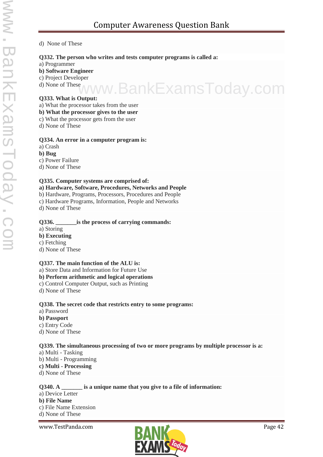#### d) None of These

#### **Q332. The person who writes and tests computer programs is called a:**

- a) Programmer
- **b) Software Engineer**
- c) Project Developer
- d) None of These

# **Q333. What is Output:** www.BankExamsToday.com

- a) What the processor takes from the user
- **b) What the processor gives to the user**
- c) What the processor gets from the user
- d) None of These

#### **Q334. An error in a computer program is:**

- a) Crash
- **b) Bug**
- c) Power Failure
- d) None of These

#### **Q335. Computer systems are comprised of:**

#### **a) Hardware, Software, Procedures, Networks and People**

- b) Hardware, Programs, Processors, Procedures and People
- c) Hardware Programs, Information, People and Networks
- d) None of These

#### **Q336. \_\_\_\_\_\_\_is the process of carrying commands:**

- a) Storing
- **b) Executing**
- c) Fetching
- d) None of These

#### **Q337. The main function of the ALU is:**

- a) Store Data and Information for Future Use
- **b) Perform arithmetic and logical operations**
- c) Control Computer Output, such as Printing
- d) None of These

#### **Q338. The secret code that restricts entry to some programs:**

- a) Password
- **b) Passport**
- c) Entry Code
- d) None of These

#### **Q339. The simultaneous processing of two or more programs by multiple processor is a:**

- a) Multi Tasking
- b) Multi Programming
- **c) Multi - Processing**
- d) None of These

#### **Q340. A \_\_\_\_\_\_\_ is a unique name that you give to a file of information:**

- a) Device Letter **b) File Name**
- c) File Name Extension
- d) None of These

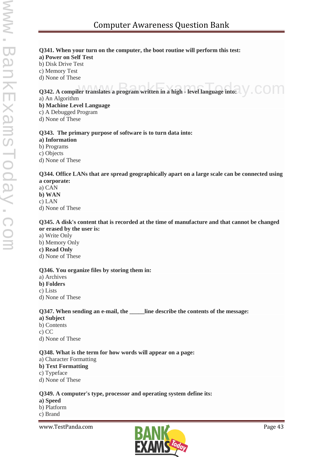#### **Q341. When your turn on the computer, the boot routine will perform this test:**

#### **a) Power on Self Test**

b) Disk Drive Test

c) Memory Test

d) None of These

**Q342. A compiler translates a program written in a high - level language into:**  $\bigvee$  **COM** 

a) An Algorithm

**b) Machine Level Language**

- c) A Debugged Program
- d) None of These

#### **Q343. The primary purpose of software is to turn data into:**

**a) Information**

b) Programs

c) Objects

d) None of These

**Q344. Office LANs that are spread geographically apart on a large scale can be connected using a corporate:**

a) CAN **b) WAN** c) LAN d) None of These

#### **Q345. A disk's content that is recorded at the time of manufacture and that cannot be changed or erased by the user is:**

- a) Write Only
- b) Memory Only

#### **c) Read Only**

d) None of These

#### **Q346. You organize files by storing them in:**

a) Archives

**b) Folders**

c) Lists

d) None of These

#### **Q347. When sending an e-mail, the \_\_\_\_\_line describe the contents of the message:**

#### **a) Subject**

- b) Contents
- c) CC
- d) None of These

#### **Q348. What is the term for how words will appear on a page:**

#### a) Character Formatting

- **b) Text Formatting**
- c) Typeface
- d) None of These

#### **Q349. A computer's type, processor and operating system define its:**

#### **a) Speed**

- b) Platform
- c) Brand

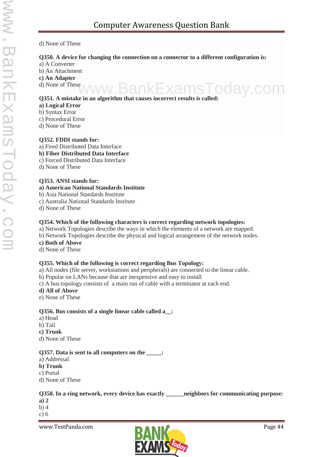#### d) None of These

#### **Q350. A device for changing the connection on a connector to a different configuration is:**

- a) A Converter
- b) An Attachment

#### **c) An Adapter**

d) None of These

#### **Q351. A mistake in an algorithm that causes incorrect results is called:**

#### **a) Logical Error**

- b) Syntax Error
- c) Procedural Error
- d) None of These

#### **Q352. FDDI stands for:**

- a) Fired Distributed Data Interface
- **b) Fiber Distributed Data Interface**
- c) Forced Distributed Data Interface
- d) None of These

#### **Q353. ANSI stands for:**

- **a) American National Standards Institute**
- b) Asia National Standards Institute
- c) Australia National Standards Institute
- d) None of These

#### **Q354. Which of the following characters is correct regarding network topologies:**

- a) Network Topologies describe the ways in which the elements of a network are mapped.
- b) Network Topologies describe the physical and logical arrangement of the network nodes.
- **c) Both of Above**
- d) None of These

#### **Q355. Which of the following is correct regarding Bus Topology:**

- a) All nodes (file server, workstations and peripherals) are connected to the linear cable.
- b) Popular on LANs because that are inexpensive and easy to install
- c) A bus topology consists of a main run of cable with a terminator at each end.

#### **d) All of Above**

e) None of These

#### **Q356. Bus consists of a single linear cable called a\_\_:**

- a) Head
- b) Tail
- **c) Trunk**
- d) None of These

#### **Q357. Data is sent to all computers on the \_\_\_\_\_:**

- a) Addressal
- **b) Trunk**
- c) Portal
- d) None of These

#### **Q358. In a ring network, every device has exactly \_\_\_\_\_\_neighbors for communicating purpose:**

- **a) 2**
- b) 4
- c) 6



 $\mathsf{v}.\mathsf{com}$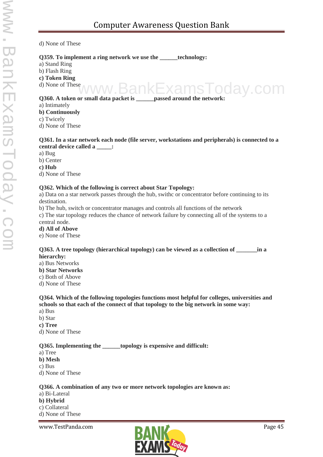d) None of These

#### **Q359. To implement a ring network we use the \_\_\_\_\_\_technology:**

a) Stand Ring

b) Flash Ring

**c) Token Ring**

d) None of These

**Q360. A token or small data packet is \_\_\_\_\_\_passed around the network:** kams I odav.com

a) Intimately

**b) Continuously**

c) Twicely

d) None of These

#### **Q361. In a star network each node (file server, workstations and peripherals) is connected to a central device called a \_\_\_\_\_:**

a) Bug

b) Center

**c) Hub**

d) None of These

#### **Q362. Which of the following is correct about Star Topology:**

a) Data on a star network passes through the hub, swithc or concentrator before continuing to its destination.

b) The hub, switch or concentrator manages and controls all functions of the network

c) The star topology reduces the chance of network failure by connecting all of the systems to a central node.

#### **d) All of Above**

e) None of These

#### **Q363. A tree topology (hierarchical topology) can be viewed as a collection of \_\_\_\_\_\_\_in a hierarchy:**

a) Bus Networks

**b) Star Networks**

c) Both of Above

d) None of These

#### **Q364. Which of the following topologies functions most helpful for colleges, universities and schools so that each of the connect of that topology to the big network in some way:**

a) Bus

b) Star

**c) Tree**

d) None of These

#### **Q365.** Implementing the topology is expensive and difficult:

a) Tree

**b) Mesh**

c) Bus

d) None of These

#### **Q366. A combination of any two or more network topologies are known as:**

a) Bi-Lateral

**b) Hybrid**

c) Collateral

d) None of These

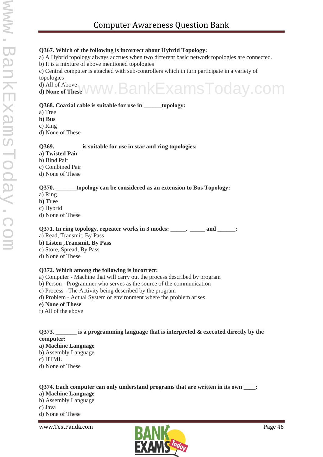#### **Q367. Which of the following is incorrect about Hybrid Topology:**

a) A Hybrid topology always accrues when two different basic network topologies are connected.

b) It is a mixture of above mentioned topologies

c) Central computer is attached with sub-controllers which in turn participate in a variety of topologies

d) All of Above **d) None of These** www.BankExamsToday.com

#### **Q368. Coaxial cable is suitable for use in \_\_\_\_\_\_topology:**

- a) Tree
- **b) Bus**
- c) Ring

d) None of These

- **Q369. \_\_\_\_\_\_\_\_\_is suitable for use in star and ring topologies: a) Twisted Pair**
- b) Bind Pair
- c) Combined Pair
- d) None of These

#### **Q370. \_\_\_\_\_\_\_topology can be considered as an extension to Bus Topology:**

- a) Ring
- **b) Tree**
- c) Hybrid
- d) None of These

**Q371. In ring topology, repeater works in 3 modes: \_\_\_\_\_, \_\_\_\_\_ and \_\_\_\_\_\_:**

- a) Read, Transmit, By Pass
- **b) Listen ,Transmit, By Pass**
- c) Store, Spread, By Pass
- d) None of These

#### **Q372. Which among the following is incorrect:**

- a) Computer Machine that will carry out the process described by program
- b) Person Programmer who serves as the source of the communication
- c) Process The Activity being described by the program
- d) Problem Actual System or environment where the problem arises
- **e) None of These**
- f) All of the above

#### **Q373. \_\_\_\_\_\_\_ is a programming language that is interpreted & executed directly by the computer:**

#### **a) Machine Language**

- b) Assembly Language
- c) HTML
- d) None of These

#### **Q374. Each computer can only understand programs that are written in its own \_\_\_\_:**

#### **a) Machine Language**

b) Assembly Language c) Java d) None of These

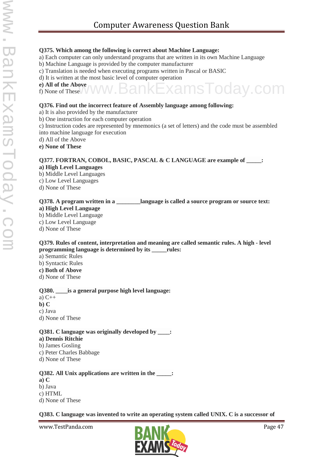#### **Q375. Which among the following is correct about Machine Language:**

- a) Each computer can only understand programs that are written in its own Machine Language
- b) Machine Language is provided by the computer manufacturer
- c) Translation is needed when executing programs written in Pascal or BASIC
- d) It is written at the most basic level of computer operation
- **e) All of the Above** f) None of These

#### **Q376. Find out the incorrect feature of Assembly language among following:**

- a) It is also provided by the manufacturer
- b) One instruction for each computer operation
- c) Instruction codes are represented by mnemonics (a set of letters) and the code must be assembled into machine language for execution
- d) All of the Above
- **e) None of These**

### **Q377. FORTRAN, COBOL, BASIC, PASCAL & C LANGUAGE are example of \_\_\_\_\_:**

- **a) High Level Languages**
- b) Middle Level Languages
- c) Low Level Languages
- d) None of These

## **Q378.** A program written in a **\_\_\_\_\_\_\_\_** language is called a source program or source text:

#### **a) High Level Language**

- b) Middle Level Language
- c) Low Level Language
- d) None of These

#### **Q379. Rules of content, interpretation and meaning are called semantic rules. A high - level programming language is determined by its \_\_\_\_\_rules:**

- a) Semantic Rules
- b) Syntactic Rules
- **c) Both of Above**
- d) None of These

#### **Q380. \_\_\_\_is a general purpose high level language:**

- a) C++
- **b) C**
- c) Java
- d) None of These

#### **Q381. C language was originally developed by \_\_\_\_:**

- **a) Dennis Ritchie**
- b) James Gosling
- c) Peter Charles Babbage
- d) None of These

#### **Q382. All Unix applications are written in the \_\_\_\_\_:**

- **a) C**
- b) Java
- c) HTML
- d) None of These

#### **Q383. C language was invented to write an operating system called UNIX. C is a successor of**



oday.com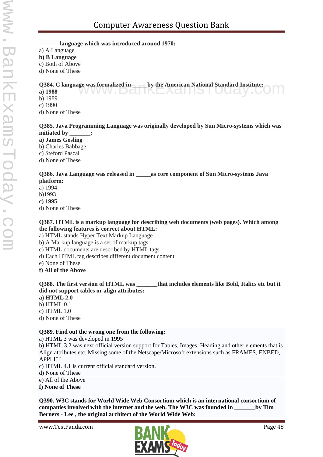#### **\_\_\_\_\_\_\_language which was introduced around 1970:**

a) A Language

**b) B Language**

c) Both of Above

d) None of These

#### **Q384. C language was formalized in \_\_\_\_\_by the American National Standard Institute:**

**a) 1988** www.DdHKEXdHI5TOUdy.CO

b) 1989

c) 1990

d) None of These

#### **Q385. Java Programming Language was originally developed by Sun Micro-systems which was initiated by \_\_\_\_\_\_\_:**

**a) James Gosling**

b) Charles Babbage

c) Steford Pascal

d) None of These

#### **Q386. Java Language was released in \_\_\_\_\_as core component of Sun Micro-systems Java platform:**

a) 1994

b)1993

**c) 1995**

d) None of These

#### **Q387. HTML is a markup language for describing web documents (web pages). Which among the following features is correct about HTML:**

a) HTML stands Hyper Text Markup Language

b) A Markup language is a set of markup tags

c) HTML documents are described by HTML tags

d) Each HTML tag describes different document content

e) None of These

**f) All of the Above**

**Q388. The first version of HTML was \_\_\_\_\_\_\_that includes elements like Bold, Italics etc but it did not support tables or align attributes:**

#### **a) HTML 2.0**

b) HTML 0.1

c) HTML 1.0

d) None of These

#### **Q389. Find out the wrong one from the following:**

a) HTML 3 was developed in 1995

b) HTML 3.2 was next official version support for Tables, Images, Heading and other elements that is Align attributes etc. Missing some of the Netscape/Microsoft extensions such as FRAMES, ENBED, APPLET

c) HTML 4.1 is current official standard version.

d) None of These

e) All of the Above

**f) None of These**

**Q390. W3C stands for World Wide Web Consortium which is an international consortium of companies involved with the internet and the web. The W3C was founded in \_\_\_\_\_\_\_by Tim Berners - Lee , the original architect of the World Wide Web:**

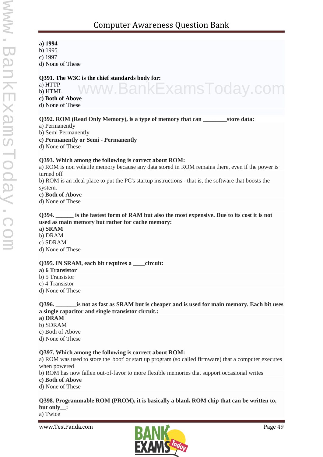่าkExamsToday.com

- **a) 1994**
- b) 1995
- c) 1997
- d) None of These

#### **Q391. The W3C is the chief standards body for:**

- a) HTTP
- b) HTML
- **c) Both of Above**
- d) None of These

#### **Q392. ROM (Read Only Memory), is a type of memory that can \_\_\_\_\_\_\_\_store data:**

- a) Permanently
- b) Semi Permanently

#### **c) Permanently or Semi - Permanently**

d) None of These

#### **Q393. Which among the following is correct about ROM:**

a) ROM is non volatile memory because any data stored in ROM remains there, even if the power is turned off

b) ROM is an ideal place to put the PC's startup instructions - that is, the software that boosts the system.

#### **c) Both of Above**

d) None of These

#### **Q394. \_\_\_\_\_\_ is the fastest form of RAM but also the most expensive. Due to its cost it is not used as main memory but rather for cache memory:**

**a) SRAM**

- b) DRAM
- c) SDRAM
- d) None of These

#### **Q395. IN SRAM, each bit requires a \_\_\_\_circuit:**

- **a) 6 Transistor**
- b) 5 Transistor
- c) 4 Transistor
- d) None of These

#### **Q396. \_\_\_\_\_\_\_is not as fast as SRAM but is cheaper and is used for main memory. Each bit uses a single capacitor and single transistor circuit.:**

#### **a) DRAM**

- b) SDRAM
- c) Both of Above
- d) None of These

#### **Q397. Which among the following is correct about ROM:**

a) ROM was used to store the 'boot' or start up program (so called firmware) that a computer executes when powered

b) ROM has now fallen out-of-favor to more flexible memories that support occasional writes

**c) Both of Above**

d) None of These

#### **Q398. Programmable ROM (PROM), it is basically a blank ROM chip that can be written to, but only\_\_:**

a) Twice

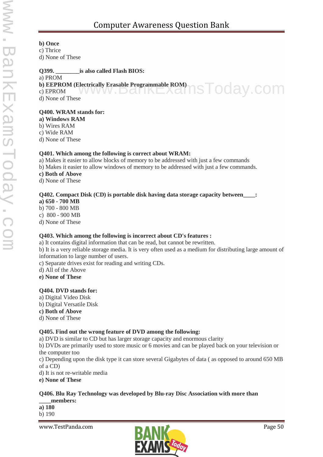#### **b) Once**

c) Thrice

d) None of These

#### **Q399. \_\_\_\_\_\_\_\_is also called Flash BIOS:**

a) PROM

#### **b) EEPROM (Electrically Erasable Programmable ROM)**

c) EPROM d) None of These ctrically Erasable Programmable ROM)<br>
IS TOOAV.COM

#### **Q400. WRAM stands for:**

**a) Windows RAM**

b) Wires RAM

c) Wide RAM

d) None of These

#### **Q401. Which among the following is correct about WRAM:**

a) Makes it easier to allow blocks of memory to be addressed with just a few commands

b) Makes it easier to allow windows of memory to be addressed with just a few commands.

#### **c) Both of Above**

d) None of These

#### **Q402. Compact Disk (CD) is portable disk having data storage capacity between\_\_\_\_:**

**a) 650 - 700 MB**

b) 700 - 800 MB

c) 800 - 900 MB

d) None of These

#### **Q403. Which among the following is incorrect about CD's features :**

a) It contains digital information that can be read, but cannot be rewritten.

b) It is a very reliable storage media. It is very often used as a medium for distributing large amount of information to large number of users.

c) Separate drives exist for reading and writing CDs.

d) All of the Above

**e) None of These**

#### **Q404. DVD stands for:**

- a) Digital Video Disk
- b) Digital Versatile Disk
- **c) Both of Above**

d) None of These

#### **Q405. Find out the wrong feature of DVD among the following:**

a) DVD is similar to CD but has larger storage capacity and enormous clarity

b) DVDs are primarily used to store music or 6 movies and can be played back on your television or the computer too

c) Depending upon the disk type it can store several Gigabytes of data ( as opposed to around 650 MB of a CD)

d) It is not re-writable media

**e) None of These**

## **Q406. Blu Ray Technology was developed by Blu-ray Disc Association with more than**

**\_\_\_\_members:**

**a) 180**

b) 190

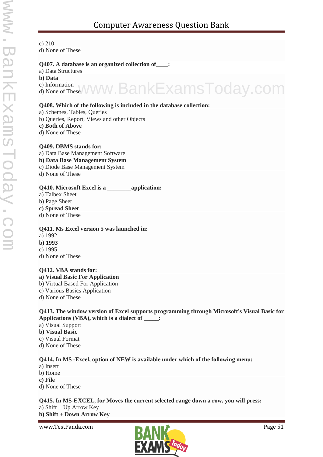c) 210 d) None of These

#### **Q407. A database is an organized collection of\_\_\_\_:**

a) Data Structures

**b) Data**

c) Information

c) Information<br>d) None of These WWW. BankExamsToday.com

#### **Q408. Which of the following is included in the database collection:**

a) Schemes, Tables, Queries

b) Queries, Report, Views and other Objects

**c) Both of Above**

d) None of These

#### **Q409. DBMS stands for:**

a) Data Base Management Software

#### **b) Data Base Management System**

c) Diode Base Management System

d) None of These

#### **Q410. Microsoft Excel is a \_\_\_\_\_\_\_\_application:**

- a) Talbex Sheet
- b) Page Sheet
- **c) Spread Sheet**
- d) None of These

#### **Q411. Ms Excel version 5 was launched in:**

- a) 1992
- **b) 1993**
- c) 1995

d) None of These

#### **Q412. VBA stands for:**

**a) Visual Basic For Application**

- b) Virtual Based For Application
- c) Various Basics Application
- d) None of These

#### **Q413. The window version of Excel supports programming through Microsoft's Visual Basic for Applications (VBA), which is a dialect of \_\_\_\_\_:**

- a) Visual Support
- **b) Visual Basic**
- c) Visual Format
- d) None of These

#### **Q414. In MS -Excel, option of NEW is available under which of the following menu:**

- a) Insert
- b) Home
- **c) File**
- d) None of These

#### **Q415. In MS-EXCEL, for Moves the current selected range down a row, you will press:** a) Shift + Up Arrow Key **b) Shift + Down Arrow Key**

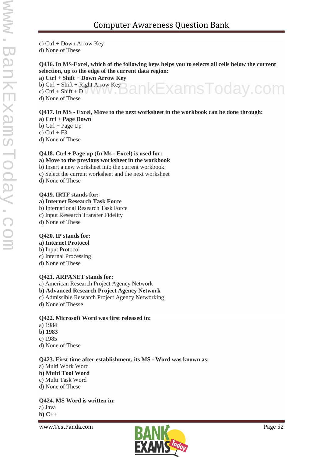c) Ctrl + Down Arrow Key d) None of These

#### **Q416. In MS-Excel, which of the following keys helps you to selects all cells below the current selection, up to the edge of the current data region:**

**a) Ctrl + Shift + Down Arrow Key**

b) Ctrl + Shift + Right Arrow Key c) Ctrl + Shift + D  $\vee$  V V V  $\Box$ d) None of These www.BankExamsToday.com

#### **Q417. In MS - Excel, Move to the next worksheet in the workbook can be done through:**

- **a) Ctrl + Page Down** b)  $Ctrl + Page Up$
- c)  $Ctrl + F3$

d) None of These

### **Q418. Ctrl + Page up (In Ms - Excel) is used for:**

- **a) Move to the previous worksheet in the workbook**
- b) Insert a new worksheet into the current workbook
- c) Select the current worksheet and the next worksheet
- d) None of These

#### **Q419. IRTF stands for:**

#### **a) Internet Research Task Force**

- b) International Research Task Force
- c) Input Research Transfer Fidelity
- d) None of These

#### **Q420. IP stands for:**

#### **a) Internet Protocol**

- b) Input Protocol
- c) Internal Processing
- d) None of These

#### **Q421. ARPANET stands for:**

a) American Research Project Agency Network

#### **b) Advanced Research Project Agency Network**

- c) Admissible Research Project Agency Networking
- d) None of Thesse

#### **Q422. Microsoft Word was first released in:**

- a) 1984
- **b) 1983**
- c) 1985
- d) None of These

#### **Q423. First time after establishment, its MS - Word was known as:**

- a) Multi Work Word **b) Multi Tool Word** c) Multi Task Word
- d) None of These

#### **Q424. MS Word is written in:**

a) Java

**b) C++**

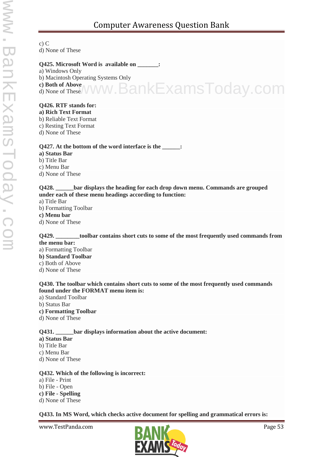c) C d) None of These

#### **Q425. Microsoft Word is available on \_\_\_\_\_\_\_:**

- a) Windows Only
- b) Macintosh Operating Systems Only
- **c) Both of Above**

d) None of These BankExamsToday.com

#### **Q426. RTF stands for:**

- **a) Rich Text Format**
- b) Reliable Text Format
- c) Resting Text Format
- d) None of These

#### **Q427. At the bottom of the word interface is the \_\_\_\_\_\_:**

- **a) Status Bar**
- b) Title Bar
- c) Menu Bar
- d) None of These

**Q428. \_\_\_\_\_\_bar displays the heading for each drop down menu. Commands are grouped under each of these menu headings according to function:**

- a) Title Bar
- b) Formatting Toolbar
- **c) Menu bar**
- d) None of These

**Q429. \_\_\_\_\_\_\_\_toolbar contains short cuts to some of the most frequently used commands from the menu bar:**

a) Formatting Toolbar **b) Standard Toolbar** c) Both of Above d) None of These

#### **Q430. The toolbar which contains short cuts to some of the most frequently used commands found under the FORMAT menu item is:**

- a) Standard Toolbar
- b) Status Bar
- **c) Formatting Toolbar**
- d) None of These

#### **Q431. \_\_\_\_\_\_bar displays information about the active document:**

- **a) Status Bar**
- b) Title Bar
- c) Menu Bar
- d) None of These

#### **Q432. Which of the following is incorrect:**

- a) File Print
- b) File Open
- **c) File - Spelling**
- d) None of These

**Q433. In MS Word, which checks active document for spelling and grammatical errors is:**

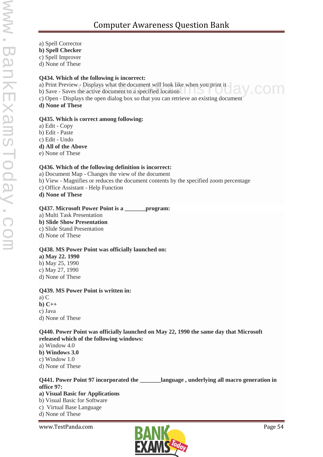- a) Spell Corrector
- **b) Spell Checker**
- c) Spell Improver
- d) None of These

#### **Q434. Which of the following is incorrect:**

- a) Print Preview Displays what the document will look like when you print it a) Print Preview - Displays what the document will look like when you print it<br>b) Save - Saves the active document to a specified location
- 
- c) Open Displays the open dialog box so that you can retrieve an existing document
- **d) None of These**

#### **Q435. Which is correct among following:**

- a) Edit Copy
- b) Edit Paste
- c) Edit Undo

#### **d) All of the Above**

e) None of These

#### **Q436. Which of the following definition is incorrect:**

- a) Document Map Changes the view of the document
- b) View Magnifies or reduces the document contents by the specified zoom percentage
- c) Office Assistant Help Function
- **d) None of These**

#### **Q437. Microsoft Power Point is a \_\_\_\_\_\_\_program:**

- a) Multi Task Presentation
- **b) Slide Show Presentation**
- c) Slide Stand Presentation
- d) None of These

#### **Q438. MS Power Point was officially launched on:**

**a) May 22. 1990** b) May 25, 1990 c) May 27, 1990 d) None of These

#### **Q439. MS Power Point is written in:**

a) C **b) C++** c) Java d) None of These

#### **Q440. Power Point was officially launched on May 22, 1990 the same day that Microsoft released which of the following windows:**

- a) Window 4.0
- **b) Windows 3.0**
- c) Window 1.0
- d) None of These

#### **Q441. Power Point 97 incorporated the \_\_\_\_\_\_\_language , underlying all macro generation in office 97:**

#### **a) Visual Basic for Applications**

- b) Visual Basic for Software
- c) Virtual Base Language
- d) None of These

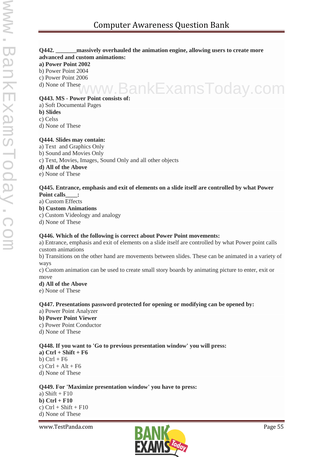#### **Q442. \_\_\_\_\_\_\_massively overhauled the animation engine, allowing users to create more advanced and custom animations:**

**a) Power Point 2002**

b) Power Point 2004

c) Power Point 2006

d) None of These

# **Q443. MS - Power Point consists of:** www.BankExamsToday.com

a) Soft Documental Pages

**b) Slides**

c) Celss

d) None of These

#### **Q444. Slides may contain:**

a) Text and Graphics Only

b) Sound and Movies Only

c) Text, Movies, Images, Sound Only and all other objects

#### **d) All of the Above**

e) None of These

#### **Q445. Entrance, emphasis and exit of elements on a slide itself are controlled by what Power Point calls\_\_\_\_:**

a) Custom Effects

#### **b) Custom Animations**

c) Custom Videology and analogy

d) None of These

#### **Q446. Which of the following is correct about Power Point movements:**

a) Entrance, emphasis and exit of elements on a slide itself are controlled by what Power point calls custom animations

b) Transitions on the other hand are movements between slides. These can be animated in a variety of ways

c) Custom animation can be used to create small story boards by animating picture to enter, exit or move

#### **d) All of the Above**

e) None of These

#### **Q447. Presentations password protected for opening or modifying can be opened by:**

a) Power Point Analyzer

**b) Power Point Viewer**

c) Power Point Conductor

d) None of These

#### **Q448. If you want to 'Go to previous presentation window' you will press:**

**a) Ctrl + Shift + F6** b)  $Ctrl + F6$ c)  $Ctrl + Alt + F6$ d) None of These

#### **Q449. For 'Maximize presentation window' you have to press:**

a) Shift +  $F10$ **b) Ctrl + F10** c)  $Ctrl + Shift + F10$ d) None of These

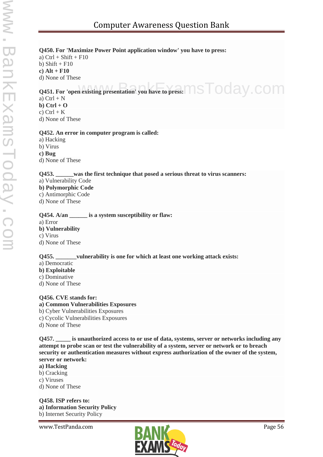#### **Q450. For 'Maximize Power Point application window' you have to press:**

a)  $Ctrl + Shift + F10$ b) Shift  $+$  F10 **c) Alt + F10** d) None of These

**Q451. For 'open existing presentation' you have to press: NSTOOAY.COM** 

a)  $Ctrl + N$ **b) Ctrl + O** c)  $Ctrl + K$ d) None of These

#### **Q452. An error in computer program is called:**

a) Hacking

b) Virus

**c) Bug**

d) None of These

#### **Q453. \_\_\_\_\_\_was the first technique that posed a serious threat to virus scanners:**

- a) Vulnerability Code
- **b) Polymorphic Code**
- c) Antimorphic Code
- d) None of These

#### **Q454. A/an \_\_\_\_\_\_ is a system susceptibility or flaw:**

a) Error

#### **b) Vulnerability**

c) Virus

d) None of These

#### **Q455. \_\_\_\_\_\_\_vulnerability is one for which at least one working attack exists:**

- a) Democratic
- **b) Exploitable**
- c) Dominative
- d) None of These

#### **Q456. CVE stands for:**

#### **a) Common Vulnerabilities Exposures**

- b) Cyber Vulnerabilities Exposures
- c) Cycolic Vulnerabilities Exposures
- d) None of These

**Q457. \_\_\_\_\_ is unauthorized access to or use of data, systems, server or networks including any attempt to probe scan or test the vulnerability of a system, server or network or to breach security or authentication measures without express authorization of the owner of the system, server or network:**

#### **a) Hacking**

- b) Cracking
- c) Viruses
- d) None of These

**Q458. ISP refers to: a) Information Security Policy** b) Internet Security Policy

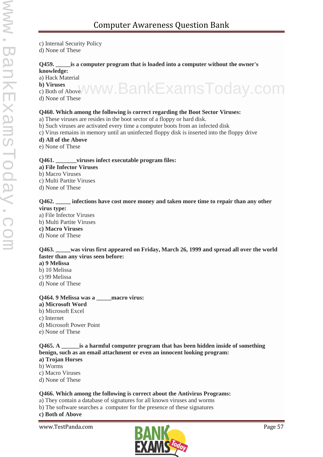c) Internal Security Policy

d) None of These

#### **Q459. \_\_\_\_\_is a computer program that is loaded into a computer without the owner's knowledge:**

a) Hack Material

**b) Viruses** b) Viruses<br>c) Both of Above/VWW.BankExamsToday.com d) None of These

#### **Q460. Which among the following is correct regarding the Boot Sector Viruses:**

- a) These viruses are resides in the boot sector of a floppy or hard disk.
- b) Such viruses are activated every time a computer boots from an infected disk
- c) Virus remains in memory until an uninfected floppy disk is inserted into the floppy drive
- **d) All of the Above**
- e) None of These

#### **Q461. \_\_\_\_\_\_\_viruses infect executable program files:**

- **a) File Infector Viruses**
- b) Macro Viruses
- c) Multi Partite Viruses
- d) None of These

#### **Q462. \_\_\_\_\_ infections have cost more money and taken more time to repair than any other virus type:**

- a) File Infector Viruses
- b) Multi Partite Viruses
- **c) Macro Viruses**
- d) None of These

#### **Q463. \_\_\_\_\_was virus first appeared on Friday, March 26, 1999 and spread all over the world faster than any virus seen before:**

- **a) 9 Melissa**
- b) 10 Melissa
- c) 99 Melissa
- d) None of These

#### **Q464. 9 Melissa was a \_\_\_\_\_macro virus:**

- **a) Microsoft Word**
- b) Microsoft Excel
- c) Internet
- d) Microsoft Power Point
- e) None of These

#### **Q465. A \_\_\_\_\_\_is a harmful computer program that has been hidden inside of something benign, such as an email attachment or even an innocent looking program:**

- **a) Trojan Horses**
- b) Worms
- c) Macro Viruses
- d) None of These

#### **Q466. Which among the following is correct about the Antivirus Programs:**

- a) They contain a database of signatures for all known viruses and worms
- b) The software searches a computer for the presence of these signatures

#### **c) Both of Above**

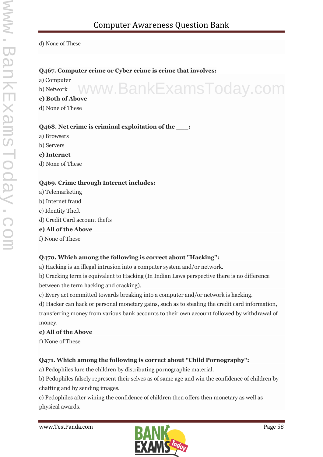d) None of These

#### **Q467. Computer crime or Cyber crime is crime that involves:**

a) Computer

b) Network

**c) Both of Above** www.BankExamsToday.com

d) None of These

#### **Q468. Net crime is criminal exploitation of the \_\_\_:**

a) Browsers

b) Servers

#### **c) Internet**

d) None of These

#### **Q469. Crime through Internet includes:**

a) Telemarketing b) Internet fraud c) Identity Theft d) Credit Card account thefts **e) All of the Above** f) None of These

#### **Q470. Which among the following is correct about "Hacking":**

a) Hacking is an illegal intrusion into a computer system and/or network.

b) Cracking term is equivalent to Hacking (In Indian Laws perspective there is no difference between the term hacking and cracking).

c) Every act committed towards breaking into a computer and/or network is hacking.

d) Hacker can hack or personal monetary gains, such as to stealing the credit card information, transferring money from various bank accounts to their own account followed by withdrawal of money.

#### **e) All of the Above**

f) None of These

#### **Q471. Which among the following is correct about "Child Pornography":**

a) Pedophiles lure the children by distributing pornographic material.

b) Pedophiles falsely represent their selves as of same age and win the confidence of children by chatting and by sending images.

c) Pedophiles after wining the confidence of children then offers then monetary as well as physical awards.

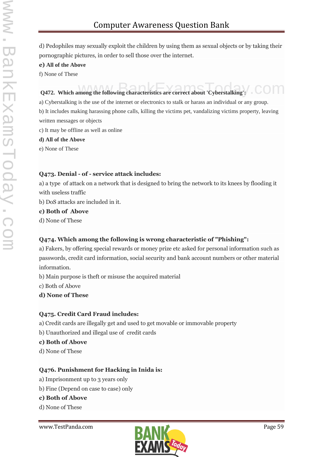d) Pedophiles may sexually exploit the children by using them as sexual objects or by taking their pornographic pictures, in order to sell those over the internet.

**e) All of the Above**

f) None of These

# **Q472.** Which among the following characteristics are correct about 'Cyberstalking':  $\sim$  0011

a) Cyberstalking is the use of the internet or electronics to stalk or harass an individual or any group. b) It includes making harassing phone calls, killing the victims pet, vandalizing victims property, leaving written messages or objects

- c) It may be offline as well as online
- **d) All of the Above**

e) None of These

#### **Q473. Denial - of - service attack includes:**

a) a type of attack on a network that is designed to bring the network to its knees by flooding it with useless traffic

b) DoS attacks are included in it.

#### **c) Both of Above**

d) None of These

### **Q474. Which among the following is wrong characteristic of "Phishing":**

a) Fakers, by offering special rewards or money prize etc asked for personal information such as passwords, credit card information, social security and bank account numbers or other material information.

b) Main purpose is theft or misuse the acquired material

c) Both of Above

**d) None of These**

#### **Q475. Credit Card Fraud includes:**

a) Credit cards are illegally get and used to get movable or immovable property

b) Unauthorized and illegal use of credit cards

**c) Both of Above**

d) None of These

### **Q476. Punishment for Hacking in Inida is:**

- a) Imprisonment up to 3 years only
- b) Fine (Depend on case to case) only

#### **c) Both of Above**

d) None of These

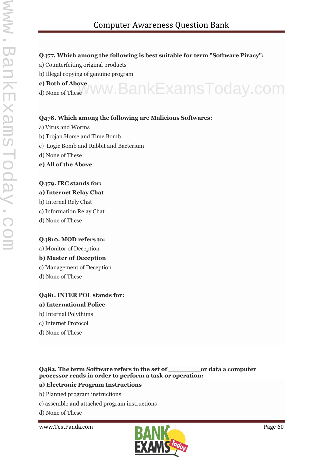#### **Q477. Which among the following is best suitable for term "Software Piracy":**

- a) Counterfeiting original products
- b) Illegal copying of genuine program
- **c) Both of Above**
- c) Both of Above<br>d) None of These WWW. BankExamsToday.com

#### **Q478. Which among the following are Malicious Softwares:**

- a) Virus and Worms
- b) Trojan Horse and Time Bomb
- c) Logic Bomb and Rabbit and Bacterium
- d) None of These
- **e) All of the Above**

#### **Q479. IRC stands for:**

#### **a) Internet Relay Chat**

b) Internal Rely Chat

- c) Information Relay Chat
- d) None of These

#### **Q4810. MOD refers to:**

#### a) Monitor of Deception

### **b) Master of Deception**

- c) Management of Deception
- d) None of These

## **Q481. INTER POL stands for:**

#### **a) International Police**

- b) Internal Polythims
- c) Internet Protocol
- d) None of These

**Q482. The term Software refers to the set of \_\_\_\_\_\_\_\_or data a computer processor reads in order to perform a task or operation:**

#### **a) Electronic Program Instructions**

- b) Planned program instructions
- c) assemble and attached program instructions

d) None of These

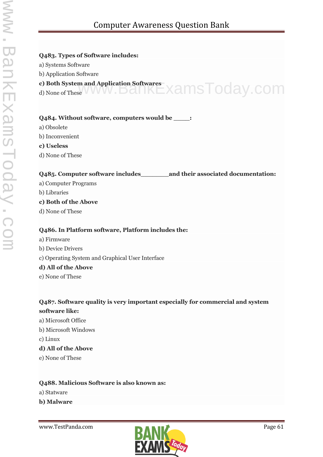#### **Q483. Types of Software includes:**

- a) Systems Software
- b) Application Software
- **c) Both System and Application Softwares** c) Both System and Application Softwares<br>d) None of These WWW.Dall KEXamSToday.COM
- 

#### **Q484. Without software, computers would be \_\_\_\_:**

- a) Obsolete
- b) Inconvenient
- **c) Useless**
- d) None of These

#### **Q485. Computer software includes\_\_\_\_\_\_\_and their associated documentation:**

- a) Computer Programs
- b) Libraries

#### **c) Both of the Above**

d) None of These

#### **Q486. In Platform software, Platform includes the:**

- a) Firmware b) Device Drivers
- c) Operating System and Graphical User Interface

#### **d) All of the Above**

e) None of These

# **Q487. Software quality is very important especially for commercial and system**

- **software like:** a) Microsoft Office
- b) Microsoft Windows
- c) Linux

#### **d) All of the Above**

e) None of These

#### **Q488. Malicious Software is also known as:**

- a) Statware
- **b) Malware**

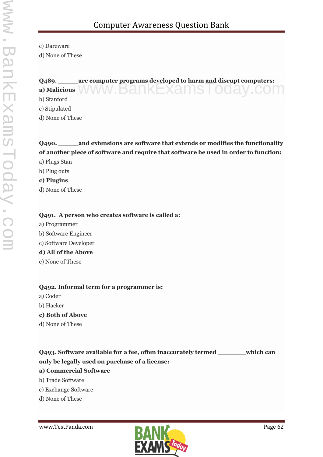c) Dareware

d) None of These

## **Q489. \_\_\_\_\_are computer programs developed to harm and disrupt computers:** a) Malicious WWW.BankExamsToday.com b) Stanford

c) Stipulated

d) None of These

# **Q490. \_\_\_\_\_and extensions are software that extends or modifies the functionality of another piece of software and require that software be used in order to function:**

- a) Plugs Stan
- b) Plug outs
- **c) Plugins**
- d) None of These

#### **Q491. A person who creates software is called a:**

- a) Programmer b) Software Engineer
- c) Software Developer

#### **d) All of the Above**

e) None of These

#### **Q492. Informal term for a programmer is:**

- a) Coder
- b) Hacker

#### **c) Both of Above**

d) None of These

# **Q493. Software available for a fee, often inaccurately termed \_\_\_\_\_\_\_which can only be legally used on purchase of a license:**

### **a) Commercial Software**

- b) Trade Software
- c) Exchange Software
- d) None of These

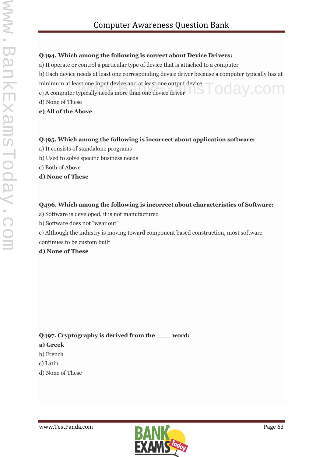#### **Q494. Which among the following is correct about Device Drivers:**

a) It operate or control a particular type of device that is attached to a computer

b) Each device needs at least one corresponding device driver because a computer typically has at minimum at least one input device and at least one output device. minimum at least one input device and at least one output device.<br>
c) A computer typically needs more than one device driver  $\bigcirc$   $\bigcirc$   $\bigcirc$   $\bigcirc$   $\bigcirc$   $\bigcirc$   $\bigcirc$ 

d) None of These

#### **e) All of the Above**

#### **Q495. Which among the following is incorrect about application software:**

- a) It consists of standalone programs
- b) Used to solve specific business needs
- c) Both of Above
- **d) None of These**

#### **Q496. Which among the following is incorrect about characteristics of Software:**

- a) Software is developed, it is not manufactured
- b) Software does not "wear out"
- c) Although the industry is moving toward component based construction, most software continues to be custom built

#### **d) None of These**

#### **Q497. Cryptography is derived from the \_\_\_\_word:**

#### **a) Greek**

- b) French
- c) Latin
- d) None of These

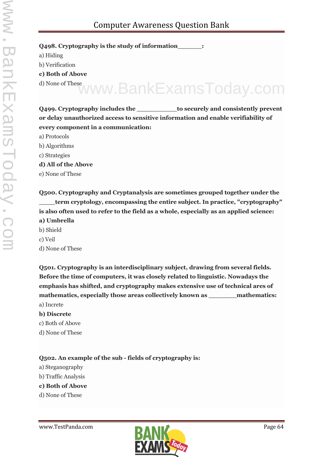**Q498. Cryptography is the study of information\_\_\_\_\_\_:**

a) Hiding

b) Verification

**c) Both of Above**

d) None of These www.BankExamsToday.com

**Q499. Cryptography includes the \_\_\_\_\_\_\_\_\_\_to securely and consistently prevent or delay unauthorized access to sensitive information and enable verifiability of every component in a communication:**

- a) Protocols
- b) Algorithms
- c) Strategies

**d) All of the Above**

e) None of These

**Q500. Cryptography and Cryptanalysis are sometimes grouped together under the \_\_\_\_term cryptology, encompassing the entire subject. In practice, "cryptography" is also often used to refer to the field as a whole, especially as an applied science: a) Umbrella** b) Shield c) Veil

d) None of These

**Q501. Cryptography is an interdisciplinary subject, drawing from several fields. Before the time of computers, it was closely related to linguistic. Nowadays the emphasis has shifted, and cryptography makes extensive use of technical ares of mathematics, especially those areas collectively known as \_\_\_\_\_\_\_mathematics:** a) Increte

#### **b) Discrete**

- c) Both of Above
- d) None of These

**Q502. An example of the sub - fields of cryptography is:**

- a) Steganography
- b) Traffic Analysis

#### **c) Both of Above**

d) None of These

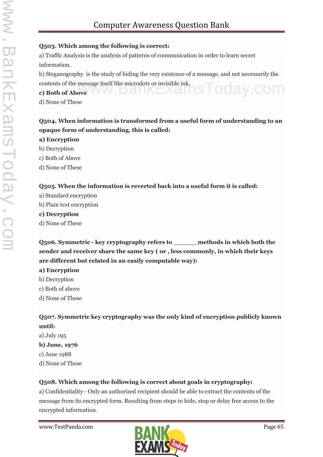#### **Q503. Which among the following is correct:**

a) Traffic Analysis is the analysis of patterns of communication in order to learn secret information.

b) Steganography is the study of hiding the very existence of a message, and not necessarily the contents of the message itself like microdots or invisible ink. contents of the message itself like microdots or invisible ink.<br> **c) Both of Above** 

d) None of These

# **Q504. When information is transformed from a useful form of understanding to an opaque form of understanding, this is called:**

- **a) Encryption**
- b) Decryption
- c) Both of Above
- d) None of These

### **Q505. When the information is reverted back into a useful form it is called:**

- a) Standard encryption
- b) Plain text encryption

#### **c) Decryption**

d) None of These

**Q506. Symmetric - key cryptography refers to \_\_\_\_\_\_methods in which both the sender and receiver share the same key ( or , less commonly, in which their keys are different but related in an easily computable way):**

- **a) Encryption**
- b) Decryption
- c) Both of above
- d) None of These

**Q507. Symmetric key cryptography was the only kind of encryption publicly known until:**

a) July 195 **b) June, 1976** c) June 1988 d) None of These

### **Q508. Which among the following is correct about goals in cryptography:**

a) Confidentiality - Only an authorized recipient should be able to extract the contents of the message from its encrypted form. Resulting from steps to hide, stop or delay free access to the encrypted information.

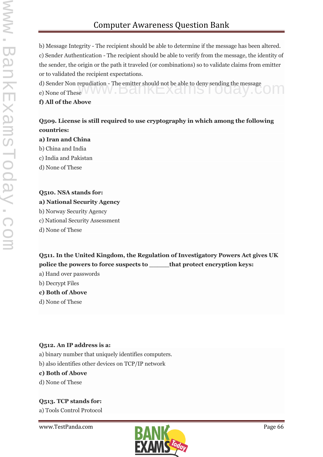b) Message Integrity - The recipient should be able to determine if the message has been altered. c) Sender Authentication - The recipient should be able to verify from the message, the identity of the sender, the origin or the path it traveled (or combinations) so to validate claims from emitter or to validated the recipient expectations.

d) Sender Non repudiation - The emitter should not be able to deny sending the message d) Sender Non repudiation - The emitter should not be able to deny sending the message<br>e) None of These

#### **f) All of the Above**

#### **Q509. License is still required to use cryptography in which among the following countries:**

#### **a) Iran and China**

- b) China and India
- c) India and Pakistan
- d) None of These

# **Q510. NSA stands for:**

#### **a) National Security Agency**

b) Norway Security Agency

c) National Security Assessment

d) None of These

**Q511. In the United Kingdom, the Regulation of Investigatory Powers Act gives UK police the powers to force suspects to \_\_\_\_\_that protect encryption keys:**

a) Hand over passwords

- b) Decrypt Files
- **c) Both of Above**
- d) None of These

#### **Q512. An IP address is a:**

a) binary number that uniquely identifies computers.

b) also identifies other devices on TCP/IP network

#### **c) Both of Above**

d) None of These

#### **Q513. TCP stands for:**

a) Tools Control Protocol

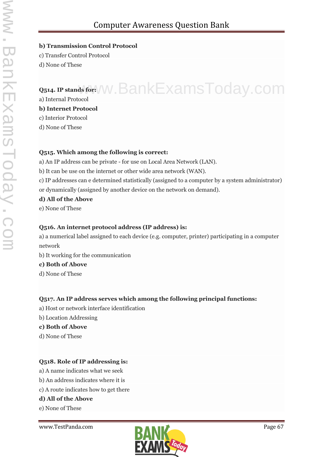# Computer Awareness Question Bank

#### **b) Transmission Control Protocol**

c) Transfer Control Protocol

d) None of These

# **Q514. IP stands for:**  $\sqrt{W}$ . BankExamsToday.com a) Internal Protocol

#### **b) Internet Protocol**

c) Interior Protocol

d) None of These

#### **Q515. Which among the following is correct:**

a) An IP address can be private - for use on Local Area Network (LAN).

- b) It can be use on the internet or other wide area network (WAN).
- c) IP addresses can e determined statistically (assigned to a computer by a system administrator) or dynamically (assigned by another device on the network on demand).

#### **d) All of the Above**

e) None of These

#### **Q516. An internet protocol address (IP address) is:**

a) a numerical label assigned to each device (e.g. computer, printer) participating in a computer network

b) It working for the communication

#### **c) Both of Above**

d) None of These

### **Q517. An IP address serves which among the following principal functions:**

- a) Host or network interface identification
- b) Location Addressing
- **c) Both of Above**
- d) None of These

### **Q518. Role of IP addressing is:**

- a) A name indicates what we seek
- b) An address indicates where it is
- c) A route indicates how to get there

### **d) All of the Above**

e) None of These

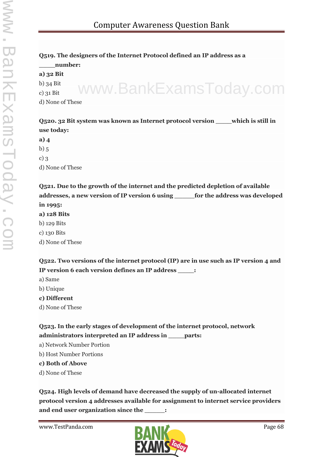# **Q519. The designers of the Internet Protocol defined an IP address as a**

**\_\_\_\_number: a) 32 Bit** b) 34 Bit c) 31 Bit

d) None of These www.BankExamsToday.com

### **Q520. 32 Bit system was known as Internet protocol version \_\_\_\_which is still in use today:**

**a) 4**  $b)$  5  $c)$  3 d) None of These

**Q521. Due to the growth of the internet and the predicted depletion of available addresses, a new version of IP version 6 using \_\_\_\_\_for the address was developed in 1995:**

#### **a) 128 Bits**

- b) 129 Bits
- c) 130 Bits
- d) None of These

**Q522. Two versions of the internet protocol (IP) are in use such as IP version 4 and IP version 6 each version defines an IP address \_\_\_\_:**

- a) Same
- b) Unique
- **c) Different**
- d) None of These

### **Q523. In the early stages of development of the internet protocol, network administrators interpreted an IP address in \_\_\_\_parts:**

- a) Network Number Portion
- b) Host Number Portions

### **c) Both of Above**

d) None of These

**Q524. High levels of demand have decreased the supply of un-allocated internet protocol version 4 addresses available for assignment to internet service providers and end user organization since the \_\_\_\_\_:**